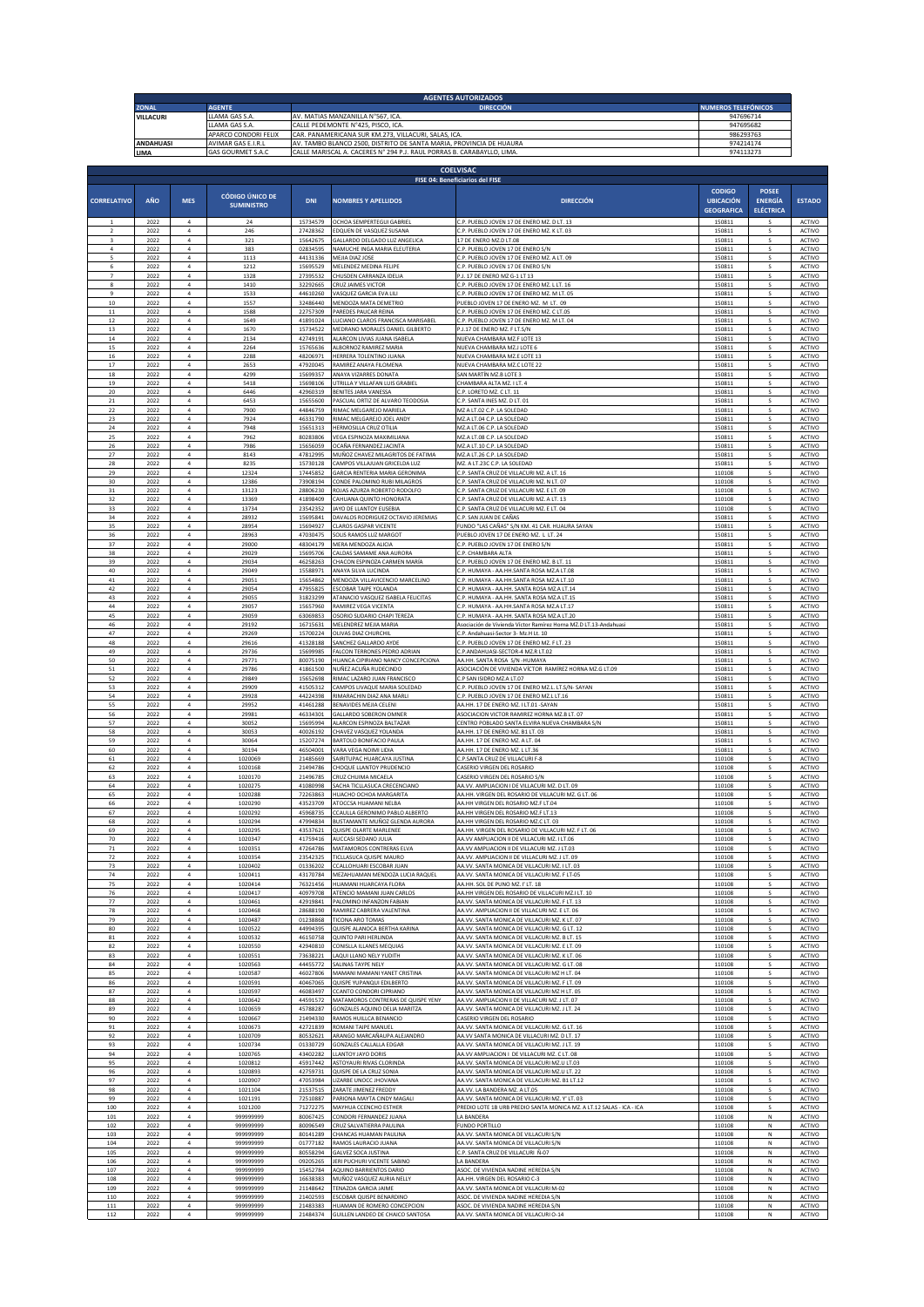|                    | <b>AGENTES AUTORIZADOS</b><br><b>ZONAL</b><br><b>AGENTE</b><br><b>DIRECCIÓN</b><br><b>NUMEROS TELEFÓNICOS</b> |                                  |                                         |                                   |                                                                                                                                               |                                                                                              |                                       |                                    |                                |
|--------------------|---------------------------------------------------------------------------------------------------------------|----------------------------------|-----------------------------------------|-----------------------------------|-----------------------------------------------------------------------------------------------------------------------------------------------|----------------------------------------------------------------------------------------------|---------------------------------------|------------------------------------|--------------------------------|
|                    | <b>VILLACURI</b><br>LLAMA GAS S.A.                                                                            |                                  |                                         | AV. MATIAS MANZANILLA N°567, ICA. |                                                                                                                                               | 947696714                                                                                    |                                       |                                    |                                |
|                    |                                                                                                               |                                  | LLAMA GAS S.A.<br>APARCO CONDORI FELIX  |                                   | CALLE PEDEMONTE N°425, PISCO, ICA<br>CAR. PANAMERICANA SUR KM.273, VILLACURI, SALAS, ICA                                                      |                                                                                              | 947695682<br>986293763                |                                    |                                |
|                    | <b>ANDAHUASI</b><br>LIMA                                                                                      |                                  | AVIMAR GAS E.I.R.L<br>GAS GOURMET S.A.C |                                   | AV. TAMBO BLANCO 2500, DISTRITO DE SANTA MARIA, PROVINCIA DE HUAURA<br>CALLE MARISCAL A. CACERES N° 294 P.J. RAUL PORRAS B. CARABAYLLO, LIMA. |                                                                                              | 974214174<br>974113273                |                                    |                                |
|                    |                                                                                                               |                                  |                                         |                                   |                                                                                                                                               |                                                                                              |                                       |                                    |                                |
|                    |                                                                                                               |                                  |                                         |                                   |                                                                                                                                               | <b>COELVISAC</b><br>FISE 04: Beneficiarios del FISE                                          |                                       |                                    |                                |
|                    |                                                                                                               |                                  | <b>CÓDIGO ÚNICO DE</b>                  |                                   |                                                                                                                                               |                                                                                              | <b>CODIGO</b>                         | <b>POSEE</b>                       |                                |
| <b>CORRELATIVO</b> | AÑO                                                                                                           | <b>MES</b>                       | <b>SUMINISTRO</b>                       | <b>DNI</b>                        | <b>NOMBRES Y APELLIDOS</b>                                                                                                                    | <b>DIRECCIÓN</b>                                                                             | <b>UBICACIÓN</b><br><b>GEOGRAFICA</b> | <b>ENERGÍA</b><br><b>ELÉCTRICA</b> | <b>ESTADO</b>                  |
|                    | 2022                                                                                                          | $\overline{4}$                   | 24                                      | 15734579                          | OCHOA SEMPERTEGUI GABRIEI                                                                                                                     | C.P. PUEBLO JOVEN 17 DE ENERO MZ. D LT. 13                                                   | 150811                                |                                    | ACTIVO                         |
|                    | 2022<br>2022                                                                                                  | $\overline{a}$<br>$\overline{a}$ | 246<br>321                              | 27428362<br>15642675              | EDQUEN DE VASQUEZ SUSAN/<br>GALLARDO DELGADO LUZ ANGELICA                                                                                     | .P. PUEBLO JOVEN 17 DE ENERO MZ. K LT. 03<br>17 DE ENERO MZ.D LT.08                          | 150811<br>150811                      | s                                  | ACTIVO<br>ACTIVO               |
| $\Lambda$          | 2022                                                                                                          | $\overline{a}$                   | 383                                     | 02834595                          | NAMUCHE INGA MARIA ELEUTERIA                                                                                                                  | C.P. PUEBLO JOVEN 17 DE ENERO S/N                                                            | 150811                                | <b>c</b>                           | <b>ACTIVO</b>                  |
|                    | 2022<br>2022                                                                                                  | $\overline{a}$<br>$\overline{a}$ | 1113<br>1212                            | 44131336<br>15695529              | MEJIA DIAZ JOSE<br>MELENDEZ MEDINA FELIPE                                                                                                     | C.P. PUERLO JOVEN 17 DE ENERO MZ. A LT. 09<br>C.P. PUERLO JOVEN 17 DE ENERO S/N              | 150811<br>150811                      |                                    | <b>ACTIVO</b><br><b>ACTIVO</b> |
| 8                  | 2022<br>2022                                                                                                  | $\overline{a}$<br>$\overline{4}$ | 1328<br>1410                            | 27395532<br>32292665              | CHUSDEN CARRANZA IDELIA<br>CRUZ JAIMES VICTOR                                                                                                 | P.J. 17 DE ENERO MZ G-1 LT 13<br>C.P. PUEBLO JOVEN 17 DE ENERO MZ. L LT. 16                  | 150811<br>150811                      | s                                  | <b>ACTIVO</b><br>ACTIVO        |
| 9                  | 2022                                                                                                          | $\sqrt{4}$                       | 1533                                    | 44610260                          | VASQUEZ GARCIA EVA LILI                                                                                                                       | C.P. PUEBLO JOVEN 17 DE ENERO MZ. M LT. 05                                                   | 150811                                | s                                  | ACTIVO                         |
| 10                 | 2022                                                                                                          | $\overline{4}$                   | 1557                                    | 32486440                          | MENDOZA MATA DEMETRIO                                                                                                                         | PUEBLO JOVEN 17 DE ENERO MZ. M LT. 09                                                        | 150811                                | s                                  | <b>ACTIVO</b>                  |
| 11                 | 2022                                                                                                          | $\overline{4}$                   | 1588                                    | 22757309                          | PAREDES PAUCAR REINA                                                                                                                          | C.P. PUEBLO JOVEN 17 DE ENERO MZ. C LT.05                                                    | 150811                                | s                                  | <b>ACTIVO</b>                  |
| 12                 | 2022                                                                                                          | $\overline{4}$                   | 1649                                    | 41891024                          | LUCIANO CLAROS FRANCISCA MARISABEL                                                                                                            | C.P. PUEBLO JOVEN 17 DE ENERO MZ. M LT. 04                                                   | 150811                                | ς                                  | ACTIVO                         |
| 13                 | 2022                                                                                                          | $\overline{4}$                   | 1670                                    | 15734522                          | MEDRANO MORALES DANIEL GILBERTO                                                                                                               | P.J.17 DE ENERO MZ. F LT.S/N                                                                 | 150811                                |                                    | ACTIVO                         |
| 14                 | 2022                                                                                                          | $\overline{4}$                   | 2134                                    | 42749191                          | ALARCON LIVIAS JUANA ISABELA                                                                                                                  | NUEVA CHAMBARA MZ.F LOTE 13                                                                  | 150811                                |                                    | ACTIVO                         |
| 15                 | 2022                                                                                                          | $\overline{a}$                   | 2264                                    | 15765636                          | ALBORNOZ RAMIREZ MARIA                                                                                                                        | NUEVA CHAMBARA MZ.J LOTE 6                                                                   | 150813                                |                                    | ACTIVO                         |
| 16                 | 2022                                                                                                          | $\mathfrak{a}$                   | 2288                                    | 48206971                          | HERRERA TOLENTINO JUANA                                                                                                                       | NUEVA CHAMBARA MZ.E LOTE 13                                                                  | 150813                                |                                    | ACTIVO                         |
| 17                 | 2022                                                                                                          | $\overline{a}$                   | 2653                                    | 47920045                          | RAMIREZ ANAYA FILOMENA                                                                                                                        | NUEVA CHAMBARA MZ.C LOTE 22                                                                  | 15081                                 |                                    | ACTIVO                         |
| 18                 | 2022                                                                                                          | $\overline{a}$                   | 4299                                    | 15699357                          | ANAYA VIZARRES DONATA                                                                                                                         | SAN MARTÍN MZ.B LOTE :                                                                       | 150811                                |                                    | <b>ACTIVO</b>                  |
| 19                 | 2022                                                                                                          | $\overline{a}$                   | 5418                                    | 15698106                          | UTRILLA Y VILLAFAN LUIS GRABIEL                                                                                                               | CHAMBARA ALTA MZ. I LT. 4                                                                    | 150811                                | s                                  | ACTIVO                         |
| 20                 | 2022                                                                                                          | $\overline{4}$                   | 6446                                    | 42960319                          | BENITES JARA VANESSA                                                                                                                          | C.P. LORETO MZ. C LT. 11                                                                     | 150811                                | s                                  | ACTIVO                         |
| 21                 | 2022                                                                                                          | $\sqrt{4}$                       | 6453                                    | 15655600                          | PASCUAL ORTIZ DE ALVARO TEODOSIA                                                                                                              | C.P. SANTA INES MZ. D LT. 01                                                                 | 150811                                |                                    | ACTIVO                         |
| 22                 | 2022                                                                                                          | $\sqrt{4}$                       | 7900                                    | 44846759                          | RIMAC MELGAREJO MARIELA                                                                                                                       | MZ A LT.02 C.P. LA SOLEDAD                                                                   | 150811                                | s                                  | ACTIVO                         |
| 23                 | 2022                                                                                                          | $\overline{4}$                   | 7924                                    | 46331790                          | RIMAC MELGAREJO JOEL ANDY                                                                                                                     | MZ.A LT.04 C.P. LA SOLEDAD                                                                   | 150811                                | s                                  | ACTIVO                         |
| 24                 | 2022                                                                                                          | $\overline{4}$                   | 7948                                    | 15651313                          | HERMOSILLA CRUZ OTILIA                                                                                                                        | MZ A IT 06 C.P. LA SOLEDAD                                                                   | 150811                                | s                                  | <b>ACTIVO</b>                  |
| 25                 | 2022                                                                                                          | $\overline{4}$                   | 7962                                    | 80283806                          | VEGA ESPINOZA MAXIMILIANA                                                                                                                     | MZ.A LT.08 C.P. LA SOLEDAD                                                                   | 150811                                | s                                  | ACTIVO                         |
| 26                 | 2022                                                                                                          | $\overline{4}$                   | 7986                                    | 15656059                          | OCAÑA FERNANDEZ JACINTA                                                                                                                       | MZ.A LT.10 C.P. LA SOLEDAD                                                                   | 150811                                |                                    | ACTIVO                         |
| 27                 | 2022                                                                                                          | $\overline{a}$                   | 8143                                    | 47812995                          | MUÑOZ CHAVEZ MILAGRITOS DE FATIMA                                                                                                             | MZ.A LT.26 C.P. LA SOLEDAD                                                                   | 150811                                | s                                  | ACTIVO                         |
| 28                 | 2022                                                                                                          | $\overline{a}$                   | 8235                                    | 15730128                          | CAMPOS VILLAJUAN GRICELDA LUZ                                                                                                                 | MZ. A LT.23C C.P. LA SOLEDAD                                                                 | 150811                                |                                    | ACTIVO                         |
| 29                 | 2022                                                                                                          | $\overline{a}$                   | 12324                                   | 17445852                          | GARCIA RENTERIA MARIA GERONIMA                                                                                                                | C.P. SANTA CRUZ DE VILLACURI MZ. A LT. 16                                                    | 110108                                | <b>c</b>                           | <b>ACTIVO</b>                  |
| 30                 | 2022                                                                                                          | $\overline{a}$                   | 12386                                   | 73908194                          | CONDE PALOMINO RUBI MILAGROS                                                                                                                  | C.P. SANTA CRUZ DE VILLACURI MZ. N LT. 07                                                    | 110108                                | s                                  | ACTIVO                         |
| 31                 | 2022                                                                                                          | $\overline{a}$                   | 13123                                   | 28806230                          | ROJAS AZURZA ROBERTO RODOLFO                                                                                                                  | C.P. SANTA CRUZ DE VILLACURI MZ. E LT. 09                                                    | 110108                                |                                    | ACTIVO                         |
| 32                 | 2022                                                                                                          | $\overline{a}$                   | 13369                                   | 41898409                          | CAHUANA QUINTO HONORATA                                                                                                                       | C.P. SANTA CRUZ DE VILLACURI MZ. A LT. 13                                                    | 110108                                | s                                  | ACTIVO                         |
| 33                 | 2022                                                                                                          | $\overline{4}$                   | 13734                                   | 23542352                          | JAYO DE LLANTOY EUSEBIA                                                                                                                       | C.P. SANTA CRUZ DE VILLACURI MZ. E LT. 04                                                    | 110108                                |                                    | ACTIVO                         |
| 34                 | 2022                                                                                                          | $\sqrt{4}$                       | 28932                                   | 15695841                          | DAVALOS RODRIGUEZ OCTAVIO JEREMIAS                                                                                                            | C.P. SAN JUAN DE CAÑAS                                                                       | 150811                                | s                                  | ACTIVO                         |
| 35                 | 2022                                                                                                          | $\overline{a}$                   | 28954                                   | 15694927                          | <b>CLAROS GASPAR VICENTE</b>                                                                                                                  | FUNDO "LAS CAÑAS" S/N KM. 41 CAR. HUAURA SAYAN                                               | 150811                                | s                                  | ACTIVO                         |
| 36                 | 2022                                                                                                          | $\overline{4}$                   | 28963                                   | 47030475                          | SOLIS RAMOS LUZ MARGOT                                                                                                                        | PUEBLO JOVEN 17 DE ENERO MZ. L LT. 24                                                        | 150811                                | s                                  | <b>ACTIVO</b>                  |
| 37                 | 2022                                                                                                          | 4                                | 29000                                   | 48304179                          | MERA MENDOZA ALICIA                                                                                                                           | C.P. PUEBLO JOVEN 17 DE ENERO S/N                                                            | 150811                                |                                    | <b>ACTIVO</b>                  |
| 38                 | 2022                                                                                                          | $\ddot{a}$                       | 29029                                   | 15695706                          | CALDAS SAMAME ANA AURORA                                                                                                                      | C.P. CHAMBARA ALTA                                                                           | 150811                                |                                    | ACTIVO                         |
| 39                 | 2022                                                                                                          | $\overline{4}$                   | 29034                                   | 46258263                          | CHACON ESPINOZA CARMEN MARÍA                                                                                                                  | C.P. PUEBLO JOVEN 17 DE ENERO MZ. B LT. 11                                                   | 150811                                |                                    | ACTIVO                         |
| 40                 | 2022                                                                                                          | $\overline{a}$                   | 29049                                   | 15588971                          | ANAYA SILVA LUCINDA                                                                                                                           | .P. HUMAYA - AA.HH.SANTA ROSA MZ.A LT.08                                                     | 150813                                |                                    | ACTIVO                         |
| 41                 | 2022                                                                                                          | $\overline{a}$                   | 29051                                   | 15654862                          | MENDOZA VILLAVICENCIO MARCELINO                                                                                                               | C.P. HUMAYA - AA.HH.SANTA ROSA MZ.A LT.10                                                    | 15081                                 |                                    | ACTIVO                         |
| 42                 | 2022                                                                                                          | $\mathfrak{a}$                   | 29054                                   | 47955825                          | ESCOBAR TAIPE YOLANDA                                                                                                                         | C.P. HUMAYA - AA.HH. SANTA ROSA MZ.A LT.14                                                   | 150813                                | <b>c</b>                           | ACTIVO                         |
| 43                 | 2022                                                                                                          | $\overline{a}$                   | 29055                                   | 31823299                          | ATANACIO VASQUEZ ISABELA FELICITAS                                                                                                            | C.P. HUMAYA - AA.HH. SANTA ROSA MZ.A LT.1!                                                   | 150811                                |                                    | <b>ACTIVO</b>                  |
| 44                 | 2022                                                                                                          | $\overline{a}$                   | 29057                                   | 15657960                          | RAMIREZ VEGA VICENTA                                                                                                                          | C.P. HUMAYA - AA.HH.SANTA ROSA MZ.A LT.17                                                    | 150811                                |                                    | <b>ACTIVO</b>                  |
| 45                 | 2022                                                                                                          | $\overline{a}$                   | 29059                                   | 63069853                          | OSORIO SUDARIO CHAPI TEREZA                                                                                                                   | C.P. HUMAYA - AA.HH. SANTA ROSA MZ.A LT.20                                                   | 150811                                | s                                  | ACTIVO                         |
| $46\,$             | 2022                                                                                                          | $\sqrt{4}$                       | 29192                                   | 16715631                          | MELENDREZ MEJIA MARIA                                                                                                                         | Asociación de Vivienda Víctor Ramírez Horna MZ.D LT.13-Andahuasi                             | 150811                                |                                    | ACTIVO                         |
| 47                 | 2022                                                                                                          | $\sqrt{4}$                       | 29269                                   | 15700224                          | OLIVAS DIAZ CHURCHIL                                                                                                                          | C.P. Andahuasi-Sector 3- Mz.H Lt. 10                                                         | 150811                                | s                                  | ACTIVO                         |
| 48                 | 2022                                                                                                          | $\overline{a}$                   | 29616                                   | 41328188                          | SANCHEZ GALLARDO AYDE                                                                                                                         | C.P. PUEBLO JOVEN 17 DE ENERO MZ. F LT. 23                                                   | 150811                                | s                                  | ACTIVO                         |
| 49                 | 2022                                                                                                          | $\overline{4}$                   | 29736                                   | 15699985                          | FALCON TERRONES PEDRO ADRIAN                                                                                                                  | C.P.ANDAHUASI-SECTOR-4 MZ.R LT.02                                                            | 150811                                | s                                  | ACTIVO                         |
| 50                 | 2022                                                                                                          | $\overline{4}$                   | 29771                                   | 80075190                          | HUANCA CIPIRIANO NANCY CONCEPCIONA                                                                                                            | AA.HH. SANTA ROSA S/N -HUMAYA                                                                | 150811                                | s                                  | ACTIVO                         |
| 51                 | 2022                                                                                                          | $\overline{4}$                   | 29786                                   | 41861500                          | NUÑEZ ACUÑA RUDECINDO                                                                                                                         | ASOCIACIÓN DE VIVIENDA VÍCTOR RAMÍREZ HORNA MZ.G LT.09                                       | 150811                                |                                    | ACTIVO                         |
| 52                 | 2022                                                                                                          | $\overline{4}$                   | 29849                                   | 15652698                          | RIMAC LAZARO JUAN FRANCISCO                                                                                                                   | C.P SAN ISIDRO MZ.A LT.07                                                                    | 150811                                |                                    | ACTIVO                         |
| 53                 | 2022                                                                                                          | $\overline{a}$                   | 29909                                   | 41505312                          | CAMPOS LIVAQUE MARIA SOLEDAD                                                                                                                  | C.P. PUEBLO JOVEN 17 DE ENERO MZ.L. LT.S/N- SAYAN                                            | 150811                                |                                    | ACTIVO                         |
| 54                 | 2022                                                                                                          | $\overline{a}$                   | 29928                                   | 44224398                          | RIMARACHIN DIAZ ANA MARLI                                                                                                                     | C.P. PUEBLO JOVEN 17 DE ENERO MZ.L LT.16                                                     | 150811                                | $\overline{\phantom{a}}$           | ACTIVO                         |
| 55                 | 2022                                                                                                          | $\overline{a}$                   | 29952                                   | 41461288                          | BENAVIDES MEJIA CELENI                                                                                                                        | AA.HH. 17 DE ENERO MZ. I LT.01 -SAYAN                                                        | 150813                                | <b>s</b>                           | ACTIVO                         |
| 56                 | 2022                                                                                                          | $\overline{a}$                   | 29981                                   | 46334301                          | GALLARDO SOBERON OMNER                                                                                                                        | ASOCIACION VICTOR RAMIREZ HORNA MZ.B LT. 07                                                  | 150811                                |                                    | <b>ACTIVO</b>                  |
| 57                 | 2022                                                                                                          | $\overline{a}$                   | 30052                                   | 15695994                          | ALARCON ESPINOZA BALTAZAR                                                                                                                     | CENTRO POBLADO SANTA ELVIRA NUEVA CHAMBARA S/N                                               | 150811                                | $\overline{\phantom{a}}$           | ACTIVO                         |
| 58                 | 2022                                                                                                          | $\overline{a}$                   | 30053                                   | 40026192                          | CHAVEZ VASQUEZ YOLANDA                                                                                                                        | AA.HH. 17 DE ENERO MZ. B1 LT. 03                                                             | 150811                                |                                    | ACTIVO                         |
| 59                 | 2022                                                                                                          | $\sqrt{4}$                       | 30064                                   | 15207274                          | BARTOLO BONIFACIO PAULA                                                                                                                       | AA.HH. 17 DE ENERO MZ. A LT. 04                                                              | 150811                                | s                                  | ACTIVO                         |
| 60                 | 2022                                                                                                          | $\bf{4}$                         | 30194                                   | 46504001                          | VARA VEGA NOIMI LIDIA                                                                                                                         | AA.HH. 17 DE ENERO MZ. L LT.36                                                               | 150811                                | s                                  | ACTIVO                         |
| 61                 | 2022                                                                                                          | $\overline{4}$                   | 1020069                                 | 21485669                          | SAIRITUPAC HUARCAYA JUSTINA                                                                                                                   | C.P.SANTA CRUZ DE VILLACURI F-8                                                              | 110108                                | s                                  | <b>ACTIVO</b>                  |
| 62                 | 2022                                                                                                          | 4                                | 1020168                                 | 21494786                          | CHOQUE LLANTOY PRUDENCIO                                                                                                                      | CASERIO VIRGEN DEL ROSARIO                                                                   | 110108                                |                                    | <b>ACTIVO</b>                  |
| 63                 | 2022                                                                                                          | 4                                | 1020170                                 | 21496785                          | CRUZ CHUIMA MICAELA                                                                                                                           | CASERIO VIRGEN DEL ROSARIO S/N                                                               | 110108                                |                                    | <b>ACTIVO</b>                  |
| 64                 | 2022                                                                                                          |                                  | 1020275                                 |                                   | 41080998 SACHA TICLLASUCA CRECENCIANO                                                                                                         | AA.VV. AMPLIACION I DE VILLACURI MZ. D LT. 09                                                | 110108                                |                                    | <b>ACTIVO</b>                  |
| 65<br>66           | 2022<br>2022                                                                                                  | $\overline{a}$                   | 1020288<br>1020290                      | 72263863<br>43523709              | HUACHO OCHOA MARGARITA<br>ATOCCSA HUAMANI NELBA                                                                                               | AA.HH. VIRGEN DEL ROSARIO DE VILLACURI MZ. G LT. 06<br>AA.HH VIRGEN DEL ROSARIO MZ.F LT.04   | 110108<br>110108                      | s                                  | ACTIVO<br>ACTIVO               |
| 67                 | 2022                                                                                                          | $\overline{a}$                   | 1020292                                 | 45968735                          | CCAULLA GERONIMO PABLO ALBERTO                                                                                                                | AA.HH VIRGEN DEL ROSARIO MZ.F LT.13                                                          | 110108                                | s                                  | ACTIVO                         |
| 68                 | 2022                                                                                                          | $\overline{a}$                   | 1020294                                 | 47994834                          | BUSTAMANTE MUÑOZ GLENDA AURORA                                                                                                                | AA.HH VIRGEN DEL ROSARIO MZ.C LT. 03                                                         | 110108                                | s                                  | <b>ACTIVO</b>                  |
| 69<br>70           | 2022                                                                                                          | $\overline{a}$<br>$\overline{4}$ | 1020295                                 | 43537621                          | QUISPE OLARTE MARLENEE                                                                                                                        | AA.HH. VIRGEN DEL ROSARIO DE VILLACURI MZ. F LT. 06                                          | 110108                                | $\overline{\phantom{a}}$           | ACTIVO                         |
| 71                 | 2022<br>2022                                                                                                  | $\overline{4}$                   | 1020347<br>1020351                      | 41759416<br>47264786              | AUCCASI SEDANO JULIA<br>MATAMOROS CONTRERAS ELVA                                                                                              | AA.VV AMPLIACION II DE VILLACURI MZ. I LT.06<br>AA.VV AMPLIACION II DE VILLACURI MZ. J LT.03 | 110108<br>110108                      | s                                  | ACTIVO<br>ACTIVO               |
| 72                 | 2022                                                                                                          | $\sqrt{4}$                       | 1020354                                 | 23542325                          | TICLLASUCA QUISPE MAURO                                                                                                                       | AA.VV. AMPLIACION II DE VILLACURI MZ. J LT. 09                                               | 110108                                | s                                  | ACTIVO                         |
| 73                 | 2022                                                                                                          | $\overline{a}$                   | 1020402                                 | 01336202                          | CCALLOHUARI ESCOBAR JUAN                                                                                                                      | AA.VV. SANTA MONICA DE VILLACURI MZ. I LT. 03                                                | 110108                                | s                                  | ACTIVO                         |
| 74                 | 2022                                                                                                          | $\overline{4}$                   | 1020411                                 | 43170784                          | MEZAHUAMAN MENDOZA LUCIA RAQUEL                                                                                                               | AA.VV. SANTA MONICA DE VILLACURI MZ. F LT-05                                                 | 110108                                | s                                  | ACTIVO                         |
| 75                 | 2022                                                                                                          | $\overline{4}$                   | 1020414                                 | 76321456                          | HUAMANI HUARCAYA FLORA                                                                                                                        | AA.HH. SOL DE PUNO MZ. I'LT. 18                                                              |                                       | s                                  | <b>ACTIVO</b>                  |
| 76                 | 2022                                                                                                          | $\sqrt{4}$                       | 1020417                                 | 40979708                          | ATENCIO MAMANI JUAN CARLOS                                                                                                                    | AA.HH VIRGEN DEL ROSARIO DE VILLACURI MZ.I LT. 10                                            | 110108<br>110108                      | s                                  | ACTIVO                         |
| 77                 | 2022                                                                                                          | $\overline{4}$                   | 1020461                                 | 42919841                          | PALOMINO INFANZON FABIAN                                                                                                                      | AA.VV. SANTA MONICA DE VILLACURI MZ. F LT. 13                                                | 110108                                | s                                  | ACTIVO                         |
| 78                 | 2022                                                                                                          | $\overline{a}$                   | 1020468                                 | 28688190                          | RAMIREZ CABRERA VALENTINA                                                                                                                     | AA.VV. AMPLIACION II DE VILLACURI MZ. E LT. 06                                               | 110108                                |                                    | ACTIVO                         |
| 79                 | 2022                                                                                                          | $\overline{a}$                   | 1020487                                 | 01238868                          | TICONA ARO TOMAS                                                                                                                              | AA.VV. SANTA MONICA DE VILLACURI MZ. K LT. 07                                                | 110108                                | $\overline{\phantom{a}}$           | ACTIVO                         |
| 80                 | 2022                                                                                                          | $\mathfrak{a}$                   | 1020522                                 | 44994395                          | QUISPE ALANOCA BERTHA KARINA                                                                                                                  | AA.VV. SANTA MONICA DE VILLACURI MZ. G LT. 12                                                | 110108                                | <b>s</b>                           | <b>ACTIVO</b>                  |
| 81                 | 2022                                                                                                          | $\overline{a}$                   | 1020532                                 | 46150758                          | QUINTO PARI HERLINDA                                                                                                                          | AA.VV. SANTA MONICA DE VILLACURI MZ. B LT. 15                                                | 110108                                |                                    | <b>ACTIVO</b>                  |
| 82                 | 2022                                                                                                          | $\overline{a}$                   | 1020550                                 | 42940810                          | CONISLLA ILLANES MEQUIAS                                                                                                                      | AA VV. SANTA MONICA DE VII LACURI MZ. E I T. 09                                              | 110108                                | $\overline{\phantom{a}}$           | <b>ACTIVO</b>                  |
| 83                 | 2022                                                                                                          | $\overline{a}$                   | 1020551                                 | 73638221                          | <b>LAOULLIANO NELY YUDITH</b>                                                                                                                 | AA.VV. SANTA MONICA DE VILLACURI MZ. K LT. 06                                                | 110108                                | $\overline{\phantom{a}}$           | <b>ACTIVO</b>                  |
| 84                 | 2022                                                                                                          | $\overline{4}$                   | 1020563                                 | 44455772                          | SALINAS TAYPE NELY                                                                                                                            | AA.VV. SANTA MONICA DE VILLACURI MZ. G LT. 08                                                | 110108                                | s                                  | ACTIVO                         |
| 85                 | 2022                                                                                                          | $\sqrt{4}$                       | 1020587                                 | 46027806                          | MAMANI MAMANI YANET CRISTINA                                                                                                                  | AA.VV. SANTA MONICA DE VILLACURI MZ H LT. 04                                                 | 110108                                | s                                  | ACTIVO                         |
| 86                 | 2022                                                                                                          | $\overline{4}$                   | 1020591                                 | 40467065                          | QUISPE YUPANQUI EDILBERTO                                                                                                                     | AA.VV. SANTA MONICA DE VILLACURI MZ. F LT. 09                                                | 110108                                | s                                  | <b>ACTIVO</b>                  |
| 87                 | 2022                                                                                                          | $\overline{a}$                   | 1020597                                 | 46083497                          | <b>CCANTO CONDORI CIPRIANO</b>                                                                                                                | AA.VV. SANTA MONICA DE VILLACURI MZ H LT. 05                                                 | 110108                                | s                                  | <b>ACTIVO</b>                  |
| 88                 | 2022                                                                                                          | $\overline{4}$                   | 1020642                                 | 44591572                          | MATAMOROS CONTRERAS DE QUISPE YENY                                                                                                            | AA.VV. AMPLIACION II DE VILLACURI MZ. J LT. 07                                               | 110108                                | s                                  | ACTIVO                         |
| 89                 | 2022                                                                                                          | $\overline{4}$                   | 1020659                                 | 45788287                          | GONZALES AQUINO DELIA MARITZA                                                                                                                 | AA.VV. SANTA MONICA DE VILLACURI MZ. J LT. 24                                                | 110108                                |                                    | ACTIVO                         |
| 90                 | 2022                                                                                                          | $\overline{a}$                   | 1020667                                 | 21494330                          | RAMOS HUILLCA BENANCIO                                                                                                                        | CASERIO VIRGEN DEL ROSARIO                                                                   | 110108                                |                                    | ACTIVO                         |
| 91                 | 2022                                                                                                          | $\overline{a}$                   | 1020673                                 | 42721839                          | ROMANI TAIPE MANUEL                                                                                                                           | AA.VV. SANTA MONICA DE VILLACURI MZ. G LT. 16                                                | 110108                                | s                                  | ACTIVO                         |
| 92                 | 2022                                                                                                          | $\overline{4}$                   | 1020709                                 | 80532621                          | ARANGO MARCAÑAUPA ALEJANDRO                                                                                                                   | AA.VV SANTA MONICA DE VILLACURI MZ. D LT. 17                                                 | 110108                                | s                                  | ACTIVO                         |
| 93                 | 2022                                                                                                          | $\mathfrak{a}$                   | 1020734                                 | 01330729                          | GONZALES CALLALLA EDGAR                                                                                                                       | AA.VV. SANTA MONICA DE VILLACURI MZ. J LT. 19                                                | 110108                                | s                                  | ACTIVO                         |
| 94                 | 2022                                                                                                          | $\overline{a}$                   | 1020765                                 | 43402282                          | <b>LLANTOY JAYO DORIS</b>                                                                                                                     | AA.VV AMPLIACION   DE VILLACURI MZ. C LT. 08                                                 | 110108                                | $\overline{\phantom{a}}$           | <b>ACTIVO</b>                  |
| 95                 | 2022                                                                                                          | $\overline{4}$                   | 1020812                                 | 45917442                          | ASTOYAURI RIVAS CLORINDA                                                                                                                      | AA.VV. SANTA MONICA DE VILLACURI MZ.U LT.03                                                  | 110108                                | s                                  | ACTIVO                         |
| 96                 | 2022                                                                                                          | $\overline{4}$                   | 1020893                                 | 42759731                          | QUISPE DE LA CRUZ SONIA                                                                                                                       | AA.VV. SANTA MONICA DE VILLACURI MZ.U LT. 22                                                 | 110108                                |                                    | ACTIVO                         |
| 97                 | 2022                                                                                                          | $\sqrt{4}$                       | 1020907                                 | 47053984                          | LIZARBE UNOCC JHOVANA                                                                                                                         | AA.VV. SANTA MONICA DE VILLACURI MZ. B1 LT.12                                                | 110108                                | s                                  | ACTIVO                         |
| 98                 | 2022                                                                                                          | $\sqrt{4}$                       | 1021104                                 | 21537515                          | ZARATE JIMENEZ FREDDY                                                                                                                         | AA.VV. LA BANDERA MZ. A LT.05                                                                | 110108                                | s                                  | ACTIVO                         |
| 99                 | 2022                                                                                                          | $\overline{a}$                   | 1021191                                 | 72510887                          | PARIONA MAYTA CINDY MAGALI                                                                                                                    | AA.VV. SANTA MONICA DE VILLACURI MZ. Y' LT. 03                                               | 110108                                | s                                  | ACTIVO                         |
| 100                | 2022                                                                                                          | $\overline{4}$                   | 1021200                                 | 71272275                          | MAYHUA CCENCHO ESTHER                                                                                                                         | PREDIO LOTE 1B URB PREDIO SANTA MONICA MZ. A LT.12 SALAS - ICA - ICA                         | 110108                                | s                                  | <b>ACTIVO</b>                  |
| 101                | 2022                                                                                                          | 4                                | 99999999                                | 80067425                          | CONDORI FERNANDEZ JUANA                                                                                                                       | A BANDERA                                                                                    | 110108                                | N                                  | <b>ACTIVO</b>                  |
| 102                | 2022                                                                                                          | $\overline{4}$                   | 99999999                                | 80096549                          | CRUZ SALVATIERRA PAULINA                                                                                                                      | <b>FUNDO PORTILLO</b>                                                                        | 110108                                | N                                  | ACTIVO                         |
| 103                | 2022                                                                                                          | $\overline{a}$                   | 99999999                                | 80141289                          | CHANCAS HUAMAN PAULINA                                                                                                                        | AA.VV. SANTA MONICA DE VILLACURI S/N                                                         | 110108                                | N                                  | ACTIVO                         |
| 104                | 2022                                                                                                          | $\overline{a}$                   | 99999999                                | 01777182                          | RAMOS LAURACIO JUANA                                                                                                                          | AA.VV. SANTA MONICA DE VILLACURI S/N                                                         | 110108                                | N                                  | ACTIVO                         |
| 105                | 2022                                                                                                          | $\overline{a}$                   | 99999999                                | 80558294                          | <b>GALVEZ SOCA JUSTINA</b>                                                                                                                    | C.P. SANTA CRUZ DE VILLACURI Ñ-07                                                            | 110108                                | N                                  | <b>ACTIVO</b>                  |
| 106                | 2022                                                                                                          | $\overline{a}$<br>$\overline{a}$ | 99999999                                | 09205265                          | JERI PUCHURI VICENTE SABINO                                                                                                                   | LA BANDERA                                                                                   | 110108                                | N<br>N                             | ACTIVO                         |
| 107<br>108         | 2022<br>2022                                                                                                  | $\overline{a}$                   | 99999999<br>99999999                    | 15452784<br>16638383              | AQUINO BARRIENTOS DARIO<br>MUÑOZ VASQUEZ AURIA NELLY                                                                                          | ASOC. DE VIVIENDA NADINE HEREDIA S/N<br>AA.HH. VIRGEN DEL ROSARIO C-3                        | 110108<br>110108                      | N                                  | ACTIVO<br><b>ACTIVO</b>        |
| 109                | 2022                                                                                                          | $\overline{4}$                   | 999999999                               | 21148642                          | TENAZOA GARCIA JAIME                                                                                                                          | AA.VV. SANTA MONICA DE VILLACURI M-02                                                        | 110108                                | N                                  | <b>ACTIVO</b>                  |
| 110                | 2022                                                                                                          | $\bf{4}$                         | 99999999                                | 21402593                          | ESCOBAR QUISPE BENARDINO                                                                                                                      | ASOC. DE VIVIENDA NADINE HEREDIA S/N                                                         | 110108                                | N                                  | ACTIVO                         |
| 111                | 2022                                                                                                          | $\overline{a}$                   | 99999999                                | 21483383                          | HUAMAN DE ROMERO CONCEPCION                                                                                                                   | ASOC. DE VIVIENDA NADINE HEREDIA S/N                                                         | 110108                                | N                                  | ACTIVO                         |
| 112                | 2022                                                                                                          | $\overline{a}$                   | 99999999                                | 21484374                          | GUILLEN LANDEO DE CHAICO SANTOSA                                                                                                              | AA.VV. SANTA MONICA DE VILLACURI O-14                                                        | 110108                                | N                                  | ACTIVO                         |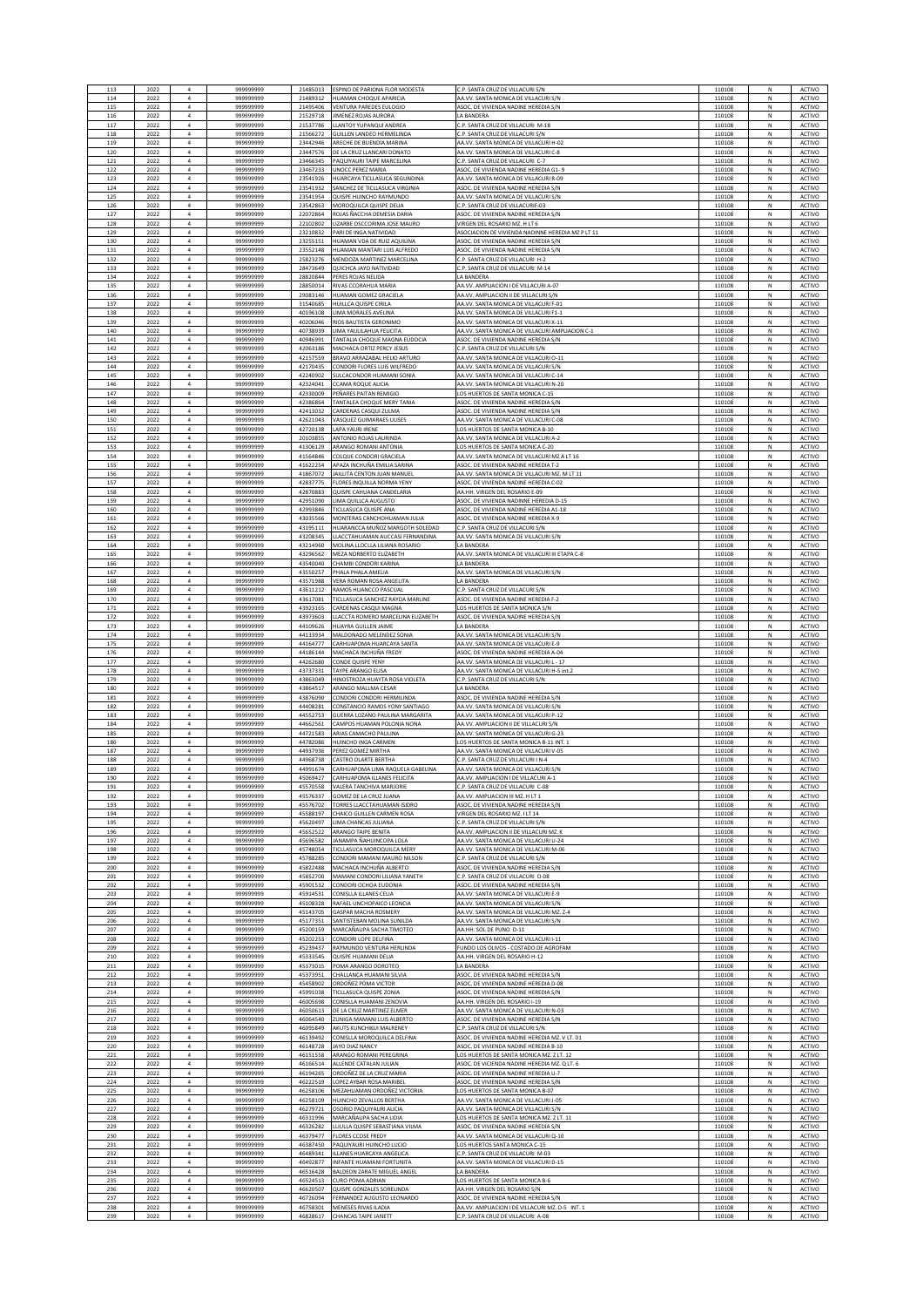| 113        | 2022         | $\overline{a}$                   | 99999999              | 21485013             | ESPINO DE PARIONA FLOR MODESTA                           | C.P. SANTA CRUZ DE VILLACURI S/I                                                        | 110108           | N               | ACTIVO                  |
|------------|--------------|----------------------------------|-----------------------|----------------------|----------------------------------------------------------|-----------------------------------------------------------------------------------------|------------------|-----------------|-------------------------|
| 114        | 2022         | $\overline{a}$                   | 999999999             | 21489312             | <b>HUAMAN CHOQUE APARICIA</b>                            | AA.VV. SANTA MONICA DE VILLACURI S/N                                                    | 110108           | N               | <b>ACTIVO</b>           |
| 115        | 2022         | $\overline{4}$                   | 99999999              | 21495406             | <b>VENTURA PAREDES EULOGIO</b>                           | ASOC. DE VIVIENDA NADINE HEREDIA S/N                                                    | 110108           | N               | <b>ACTIVO</b>           |
| 116        | 2022         | $\overline{4}$                   | 99999999              | 21529718             | JIMENEZ ROJAS AURORA                                     | <b>LA BANDERA</b>                                                                       | 110108           | N               | ACTIVO                  |
| 117        | 2022         | $\bf{4}$                         | 99999999<br>999999999 | 21537786             | LLANTOY YUPANQUI ANDREA<br>GUILLEN LANDEO HERMELINDA     | C.P. SANTA CRUZ DE VILLACURI M-18<br>C.P. SANTA CRUZ DE VILLACURI S/N                   | 110108           | ${\sf N}$       | ACTIVO<br>ACTIVO        |
| 118<br>119 | 2022<br>2022 | $\overline{a}$<br>$\overline{a}$ | 99999999              | 21566272<br>23442946 | ARECHE DE BUENDIA MARINA                                 | AA.VV. SANTA MONICA DE VILLACURI H-02                                                   | 110108<br>110108 | N<br>N          | ACTIVO                  |
| 120        | 2022         | $\overline{4}$                   | 99999999              | 23447576             | DE LA CRUZ LLANCARI DONATO                               | AA.VV. SANTA MONICA DE VILLACURI C-8                                                    | 110108           | $\hbox{N}$      | ACTIVO                  |
| 121        | 2022         | $\bf{4}$                         | 99999999              | 23466345             | PAQUIYAURI TAIPE MARCELINA                               | C.P. SANTA CRUZ DE VILLACURI C-7                                                        | 110108           | N               | ACTIVO                  |
| 122        | 2022         | $\bf{4}$                         | 99999999              | 23467233             | UNOCC PEREZ MARIA                                        | ASOC. DE VIVIENDA NADINE HEREDIA G1- 9                                                  | 110108           | N               | ACTIVO                  |
| 123        | 2022         | $\bf{4}$                         | 99999999              | 23541926             | <b>IUARCAYA TICLLASUCA SEGUNDINA</b>                     | AA.VV. SANTA MONICA DE VILLACURI R-09                                                   | 110108           | $\hbox{N}$      | ACTIVO                  |
| 124        | 2022         | $\bf{4}$                         | 999999999             | 23541932             | SANCHEZ DE TICLLASUCA VIRGINIA                           | ASOC. DE VIVIENDA NADINE HEREDIA S/N                                                    | 110108           | N               | ACTIVO                  |
| 125        | 2022         | $\overline{4}$                   | 99999999              | 23541954             | QUISPE HUINCHO RAYMUNDO                                  | AA.VV. SANTA MONICA DE VILLACURI S/N                                                    | 110108           | $\hbox{N}$      | ACTIVO                  |
| 126        | 2022         | $\sqrt{4}$                       | 99999999              | 23542863             | MOROQUILCA QUISPE DELIA                                  | C.P. SANTA CRUZ DE VILLACURIF-03                                                        | 110108           | $\hbox{N}$      | ACTIVO                  |
| 127        | 2022         | $\sqrt{4}$                       | 999999999             | 22072864             | ROJAS ÑACCHA DEMESIA DARIA                               | ASOC. DE VIVIENDA NADINE HEREDIA S/N                                                    | 110108           | N               | ACTIVO                  |
| 128        | 2022         | $\overline{4}$                   | 999999999             | 22102802             | LIZARBE OSCCORIMA JOSE MAURO                             | VIRGEN DEL ROSARIO MZ. H LT 6                                                           | 110108           | N               | ACTIVO                  |
| 129        | 2022         | $\bf{4}$                         | 99999999              | 23210832             | PARI DE INGA NATIVIDAD                                   | ASOCIACION DE VIVIENDA NADINNE HEREDIA MZ P LT 11                                       | 110108           | ${\sf N}$       | ACTIVO                  |
| 130        | 2022         | $\bf{4}$                         | 999999999             | 23255151             | HUAMAN VDA DE RUIZ AQUILINA                              | ASOC. DE VIVIENDA NADINE HEREDIA S/N                                                    | 110108           | ${\sf N}$       | ACTIVO                  |
| 131        | 2022         | $\sqrt{4}$                       | 99999999              | 23552148             | HUAMAN MANTARI LUIS ALFREDO                              | ASOC. DE VIVIENDA NADINE HEREDIA S/N                                                    | 110108           | N               | <b>ACTIVO</b>           |
| 132        | 2022         | $\bf{4}$                         | 99999999              | 25823276             | MENDOZA MARTINEZ MARCELINA                               | C.P. SANTA CRUZ DE VILLACURI H-2                                                        | 110108           | ${\sf N}$       | ACTIVO                  |
| 133        | 2022         | $\overline{4}$                   | 999999999             | 28473649             | QUICHCA JAYO NATIVIDAD                                   | C.P. SANTA CRUZ DE VILLACURI M-14                                                       | 110108           | N               | <b>ACTIVO</b>           |
| 134        | 2022         | $\overline{4}$                   | 99999999              | 28820844             | PERES ROJAS NELIDA                                       | LA BANDERA                                                                              | 110108           | N               | ACTIVO                  |
| 135        | 2022         | $\overline{4}$                   | 99999999              | 28850014             | RIVAS CCORAHUA MARIA                                     | AA.VV. AMPLIACION I DE VILLACURI A-07                                                   | 110108           | N               | ACTIVO                  |
| 136        | 2022         | $\bf{4}$                         | 99999999              | 29083146             | <b>IUAMAN GOMEZ GRACIEL</b>                              | AA.VV. AMPLIACION II DE VILLACURI                                                       | 110108           | N               | ACTIVO                  |
| 137        | 2022         | $\overline{a}$                   | 99999999              | 31540685             | HUILLCA QUISPE CIRILA                                    | AA.VV. SANTA MONICA DE VILLACURI F-0:                                                   | 110108           | N               | ACTIVO                  |
| 138        | 2022         | $\overline{4}$<br>$\overline{a}$ | 99999999              | 40196108             | LIMA MORALES AVELINA                                     | AA.VV. SANTA MONICA DE VILLACURI F1-                                                    | 110108           | N<br>N          | ACTIVO                  |
| 139<br>140 | 2022<br>2022 | $\overline{4}$                   | 99999999<br>99999999  | 40206046<br>40738939 | RIOS BAUTISTA GERONIMO<br>LIMA YAULILAHUA FELICITA       | AA.VV. SANTA MONICA DE VILLACURI X-1<br>AA.VV. SANTA MONICA DE VILLACURI AMPLIACION C-1 | 110108<br>110108 | N               | <b>ACTIVO</b><br>ACTIVO |
| 141        | 2022         | $\overline{4}$                   | 99999999              | 40946991             | TANTALIA CHOQUE MAGNA EUDOCIA                            | ASOC. DE VIVIENDA NADINE HEREDIA S/N                                                    | 110108           | N               | ACTIVO                  |
| 142        | 2022         | $\bf{4}$                         | 99999999              | 42063186             | MACHACA ORTIZ PERCY JESUS                                | C.P. SANTA CRUZ DE VILLACURI S/N                                                        | 110108           | ${\sf N}$       | ACTIVO                  |
| 143        | 2022         | $\bf{4}$                         | 99999999              | 42157559             | BRAVO ARRAZABAL HELIO ARTURO                             | AA.VV. SANTA MONICA DE VILLACURI O-11                                                   | 110108           | ${\sf N}$       | ACTIVO                  |
| 144        | 2022         | $\sqrt{4}$                       | 99999999              | 42170435             | CONDORI FLORES LUIS WILFREDO                             | AA.VV. SANTA MONICA DE VILLACURI S/N                                                    | 110108           | N               | ACTIVO                  |
| 145        | 2022         | $\overline{4}$                   | 999999999             | 42240902             | <b>SULCACONDOR HUAMANI SONIA</b>                         | AA.VV. SANTA MONICA DE VILLACURI C-14                                                   | 110108           | N               | <b>ACTIVO</b>           |
| 146        | 2022         | $\overline{4}$                   | 99999999              | 42324041             | CCAMA ROQUE ALICIA                                       | AA VV. SANTA MONICA DE VII LACURI N-20                                                  | 110108           | N               | <b>ACTIVO</b>           |
| 147        | 2022         | $\bf{4}$                         | 99999999              | 42330009             | PEÑARES PAITAN REMIGIO                                   | LOS HUERTOS DE SANTA MONICA C-15                                                        | 110108           | N               | ACTIVO                  |
| 148        | 2022         | $\bf{4}$                         | 99999999              | 42386864             | TANTALEA CHOQUE MERY TANIA                               | ASOC. DE VIVIENDA NADINE HEREDIA S/N                                                    | 110108           | $\hbox{N}$      | ACTIVO                  |
| 149        | 2022         | $\bf{4}$                         | 99999999              | 42413032             | ARDENAS CASQUI ZULMA                                     | ASOC. DE VIVIENDA NADINE HEREDIA                                                        | 110108           | N               | ACTIVO                  |
| 150        | 2022         | $\overline{4}$                   | 99999999              | 42621043             | VASQUEZ GUIMARAES ULISES                                 | AA.VV. SANTA MONICA DE VILLACURI C-08                                                   | 110108           | N               | ACTIVO                  |
| 151        | 2022         | $\overline{4}$                   | 99999999              | 42720138             | LAPA YAURI IRENE                                         | LOS HUERTOS DE SANTA MONICA B-10                                                        | 110108           | N               | ACTIVO                  |
| 152        | 2022         | $\overline{4}$                   | 99999999              | 20103855             | ANTONIO ROJAS LAURINDA                                   | AA.VV. SANTA MONICA DE VILLACURI A-2                                                    | 110108           | N               | <b>ACTIVO</b>           |
| 153        | 2022         | $\overline{4}$                   | 999999999             | 41306129             | ARANGO ROMANI ANTONIA                                    | LOS HUERTOS DE SANTA MONICA C-20                                                        | 110108           | N               | ACTIVO                  |
| 154        | 2022         | $\bf{4}$                         | 99999999              | 41564846             | COLQUE CONDORI GRACIELA                                  | AA.VV. SANTA MONICA DE VILLACURI MZ A LT 16                                             | 110108           | ${\sf N}$       | ACTIVO                  |
| 155        | 2022         | $\bf{4}$                         | 99999999              | 41622254             | APAZA INCHUÑA EMILIA SARINA                              | ASOC. DE VIVIENDA NADINE HEREDIA T-2                                                    | 110108           | ${\sf N}$       | ACTIVO                  |
| 156        | 2022         | $\sqrt{4}$                       | 99999999              | 41867072             | JAILLITA CENTON JUAN MANUEL                              | AA.VV. SANTA MONICA DE VILLACURI MZ. M LT 11                                            | 110108           | N               | ACTIVO                  |
| 157        | 2022         | $\sqrt{4}$                       | 99999999              | 42837775             | FLORES INQUILLA NORMA YENY                               | ASOC. DE VIVIENDA NADINE HEREDIA C-02                                                   | 110108           | ${\sf N}$       | ACTIVO                  |
| 158        | 2022         | $\overline{4}$                   | 999999999             | 42870883             | QUISPE CAHUANA CANDELARIA                                | AA.HH. VIRGEN DEL ROSARIO E-09                                                          | 110108           | N               | ACTIVO                  |
| 159        | 2022         | $\overline{a}$                   | 999999999             | 42951090             | LIMA QUILLCA AUGUSTO                                     | ASOC. DE VIVIENDA NADINNE HEREDIA D-15                                                  | 110108           | $\hbox{N}$      | ACTIVO                  |
| 160        | 2022         | $\bf{4}$                         | 99999999              | 42993846             | TICLLASUCA QUISPE ANA                                    | ASOC. DE VIVIENDA NADINE HEREDIA A1-18                                                  | 110108           | N               | ACTIVO                  |
| 161        | 2022         | $\bf{4}$                         | 99999999              | 43035566             | MONTERAS CANCHOHUAMAN JULIA                              | ASOC. DE VIVIENDA NADINE HEREDIA X-9                                                    | 110108           | N               | ACTIVO                  |
| 162        | 2022         | $\bf{4}$                         | 99999999              | 43195111             | HUARANCCA MUÑOZ MARGOTH SOLEDAD                          | C.P. SANTA CRUZ DE VILLACURI S/                                                         | 110108           | N               | ACTIVO                  |
| 163        | 2022         | $\overline{a}$                   | 99999999              | 43208345             | LLACCTAHUAMAN AUCCASI FERNANDINA                         | AA.VV. SANTA MONICA DE VILLACURI S/N                                                    | 110108           | N               | ACTIVO                  |
| 164        | 2022         | $\overline{4}$                   | 99999999              | 43214960             | MOLINA LLOCLLA LILIANA ROSARIO                           | LA BANDERA                                                                              | 110108           | N               | ACTIVO                  |
| 165        | 2022         | $\overline{a}$                   | 99999999              | 43296562             | MEZA NORBERTO ELIZABETH                                  | AA.VV. SANTA MONICA DE VILLACURI III ETAPA C-8                                          | 110108           | N               | ACTIVO                  |
| 166        | 2022         | $\overline{4}$                   | 999999999             | 43540040             | CHAMBI CONDORI KARINA                                    | LA BANDERA                                                                              | 110108           | N               | ACTIVO                  |
| 167        | 2022         | $\,$ 4 $\,$                      | 99999999              | 43550257             | PHALA PHALA AMELIA                                       | AA.VV. SANTA MONICA DE VILLACURI S/N                                                    | 110108           | ${\sf N}$       | ACTIVO                  |
| 168        | 2022         | $\bf{4}$                         | 99999999              | 43571988             | VERA ROMAN ROSA ANGELITA                                 | LA BANDERA                                                                              | 110108           | ${\sf N}$       | ACTIVO                  |
| 169        | 2022         | $\sqrt{4}$                       | 99999999              | 43611212             | RAMOS HUANCCO PASCUAL                                    | C.P. SANTA CRUZ DE VILLACURI S/N                                                        | 110108           | N               | ACTIVO                  |
| 170        | 2022         | $\bf{4}$                         | 99999999              | 43617081             | TICLLASUCA SANCHEZ RAYDA MARLINE                         | ASOC. DE VIVIENDA NADINE HEREDIA F-2                                                    | 110108           | ${\sf N}$       | <b>ACTIVO</b>           |
| 171        | 2022         | $\overline{4}$                   | 99999999              | 43923165             | CARDENAS CASQUI MAGNA                                    | LOS HUERTOS DE SANTA MONICA S/N                                                         | 110108           | ${\sf N}$       | ACTIVO                  |
| 172        | 2022         | $\bf{4}$                         | 99999999              | 43973603             | LLACCTA ROMERO MARCELINA ELIZABETH                       | ASOC. DE VIVIENDA NADINE HEREDIA S/N                                                    | 110108           | N               | ACTIVO                  |
| 173        | 2022         | $\bf{4}$                         | 99999999              | 44109626             | HUAYRA GUILLEN JAIME                                     | LA BANDERA                                                                              | 110108           | N               | ACTIVO                  |
| 174        | 2022         | $\bf{4}$                         | 99999999              | 44133934             | MALDONADO MELENDEZ SONIA                                 | AA.VV. SANTA MONICA DE VILLACURI S/N                                                    | 110108           | N               | ACTIVO                  |
| 175        | 2022         | $\bf{4}$                         | 99999999              | 44164777             | CARHUAPOMA HUARCAYA SANTA                                | AA.VV. SANTA MONICA DE VILLACURI E-9                                                    | 110108           | $\hbox{N}$      | ACTIVO                  |
| 176        | 2022         | $\overline{4}$                   | 99999999              | 44186144             | MACHACA INCHUÑA FRED'                                    | ASOC. DE VIVIENDA NADINE HEREDIA A-04                                                   | 110108           | N               | ACTIVO                  |
| 177        | 2022         | $\overline{4}$                   | 999999999             | 44262680             | CONDE QUISPE YENY                                        | AA.VV. SANTA MONICA DE VILLACURI L - 17                                                 | 110108           | N               | ACTIVO                  |
| 178        | 2022         | $\overline{4}$                   | 99999999              | 43737331             | TAYPE ARANGO ELISA                                       | AA.VV. SANTA MONICA DE VILLACURI H-5 int.2                                              | 110108           | N               | ACTIVO                  |
| 179        | 2022         | $\overline{4}$                   | 999999999             | 43863049             | HINOSTROZA HUAYTA ROSA VIOLETA                           | C.P. SANTA CRUZ DE VILLACURI S/N                                                        | 110108           | N               | ACTIVO                  |
| 180        | 2022         | $\bf{4}$                         | 99999999              | 43864517             | ARANGO MALLMA CESAR                                      | LA BANDERA                                                                              | 110108           | ${\sf N}$       | ACTIVO                  |
| 181        | 2022         | $\,$ 4 $\,$                      | 99999999              | 43876090             | CONDORI CONDORI HERMILINDA                               | ASOC. DE VIVIENDA NADINE HEREDIA S/N                                                    | 110108           | ${\sf N}$       | ACTIVO                  |
| 182        | 2022         | $\sqrt{4}$                       | 99999999              | 44408281             | CONSTANCIO RAMOS YONY SANTIAGO                           | AA.VV. SANTA MONICA DE VILLACURI S/N                                                    | 110108           | N               | ACTIVO                  |
| 183        | 2022         | $\bf{4}$                         | 99999999              | 44552753             | GUERRA LOZANO PAULINA MARGARITA                          | AA VV. SANTA MONICA DE VII LACURI P-12                                                  | 110108           | ${\sf N}$       | ACTIVO                  |
| 184        | 2022         | $\overline{4}$                   | 999999999             | 44662561             | CAMPOS HUAMAN POLONIA NONA                               | AA.VV. AMPLIACION II DE VILLACURI S/N                                                   | 110108           | ${\sf N}$       | ACTIVO                  |
| 185        | 2022         | $\overline{a}$                   | 99999999              | 44721583             | ARIAS CAMACHO PAULINA<br>HUINCHO INGA CARMEN             | AA.VV. SANTA MONICA DE VILLACURI G-23<br>LOS HUERTOS DE SANTA MONICA B-11 INT. 1        | 110108           | N               | ACTIVO                  |
| 186<br>187 | 2022<br>2022 | $\bf{4}$<br>$\bf{4}$             | 99999999<br>99999999  | 44782086<br>44937936 | PEREZ GOMEZ MIRTH/                                       | AA.VV. SANTA MONICA DE VILLACURI V-05                                                   | 110108<br>110108 | $\hbox{N}$<br>N | ACTIVO<br>ACTIVO        |
| 188        | 2022         | $\overline{a}$                   | 99999999              | 44968738             | CASTRO OLARTE BERTHA                                     | C.P. SANTA CRUZ DE VILLACURI I N-4                                                      | 110108           | N               | <b>ACTIVO</b>           |
| 189        | 2022         | $\overline{a}$                   | 999999999             | 44991674             | CARHUAPOMA LIMA RAQUELA GABELINA                         | AA.VV. SANTA MONICA DE VILLACURI S/N                                                    | 110108           | N               | ACTIVO                  |
| 191        | 2023<br>2022 | $\overline{4}$                   | 999999999             | 45570558             | ARHIJAPOMA ILI ANES FELICIT<br>VALERA TANCHIVA MARIORIE  | VV. AMPHACION LDE VILLACURLA<br>C.P. SANTA CRUZ DE VILLACURI C-08                       | 110108           | N               | ACTIVO<br><b>ACTIVO</b> |
| 192        | 2022         | $\overline{4}$                   | 99999999              | 45576337             | GOMEZ DE LA CRUZ JUANA                                   | AA.VV. AMPLIACION III MZ. H LT 1                                                        | 110108           | N               | <b>ACTIVO</b>           |
| 193        | 2022         | $\bf{4}$                         | 999999999             | 45576702             | TORRES LLACCTAHUAMAN ISIDRO                              | ASOC. DE VIVIENDA NADINE HEREDIA S/N                                                    | 110108           | ${\sf N}$       | ACTIVO                  |
| 194        | 2022         | $\overline{a}$                   | 99999999              | 45588197             | CHAICO GUILLEN CARMEN ROSA                               | VIRGEN DEL ROSARIO MZ. I LT 14                                                          | 110108           | N               | ACTIVO                  |
| 195        | 2022         | $\overline{4}$                   | 99999999              | 45620497             | LIMA CHANCAS JULIANA                                     | C.P. SANTA CRUZ DE VILLACURI S/N                                                        | 110108           | N               | ACTIVO                  |
| 196        | 2022         | $\overline{4}$                   | 999999999             | 45652522             | <b>ARANGO TAIPE BENITA</b>                               | AA.VV. AMPLIACION II DE VILLACURI MZ. K                                                 | 110108           | N               | ACTIVO                  |
| 197        | 2022         | $\bf{4}$                         | 99999999              | 45696582             | <b>JANAMPA ÑAHUINCOPA LOLA</b>                           | AA.VV. SANTA MONICA DE VILLACURI U-24                                                   | 110108           | $\hbox{N}$      | ACTIVO                  |
| 198        | 2022         | $\overline{4}$                   | 99999999              | 45748054             | TICLLASUCA MOROQUILCA MERY                               | AA.VV. SANTA MONICA DE VILLACURI M-06                                                   | 110108           | N               | ACTIVO                  |
| 199        | 2022         | $\bf{4}$                         | 99999999              | 45788285             | CONDORI MAMANI MAURO NILSON                              | C.P. SANTA CRUZ DE VILLACURI S/N                                                        | 110108           | $\hbox{N}$      | ACTIVO                  |
| 200        | 2022         | $\bf{4}$                         | 99999999              | 45822488             | MACHACA INCHUÑA ALBERTO                                  | ASOC. DE VIVIENDA NADINE HEREDIA S/N                                                    | 110108           | $\hbox{N}$      | ACTIVO                  |
| 201        | 2022         | $\overline{4}$                   | 99999999              | 45852700             | MAMANI CONDORI LILIANA YANETH                            | C.P. SANTA CRUZ DE VILLACURI O-08                                                       | 110108           | N               | ACTIVO                  |
| 202        | 2022         | $\overline{4}$                   | 99999999              | 45901532             | CONDORLOCHOA EUDONIA                                     | ASOC. DE VIVIENDA NADINE HEREDIA S/N                                                    | 110108           | N               | <b>ACTIVO</b>           |
| 203        | 2022         | $\overline{4}$                   | 99999999              | 45914531             | CONISITA ILLANES CELIA                                   | AA.VV. SANTA MONICA DE VILLACURI E-9                                                    | 110108           | N               | <b>ACTIVO</b>           |
| 204        | 2022         | $\overline{4}$                   | 99999999              | 45108328             | RAFAEL UNCHOPAICO LEONCIA<br><b>GASPAR MACHA ROSMERY</b> | AA.VV. SANTA MONICA DE VILLACURI S/N                                                    | 110108           | N               | ACTIVO                  |
| 205        | 2022         | $\bf{4}$                         | 99999999              | 45143705             | SANTISTEBAN MOLINA SUNILDA                               | AA.VV. SANTA MONICA DE VILLACURI MZ. Z-4                                                | 110108           | ${\sf N}$       | ACTIVO                  |
| 206        | 2022         | $\bf{4}$                         | 99999999              | 45177351             |                                                          | AA.VV. SANTA MONICA DE VILLACURI S/N                                                    | 110108           | ${\sf N}$       | ACTIVO                  |
| 207        | 2022         | $\overline{4}$                   | 99999999              | 45200159             | MARCAÑAUPA SACHA TIMOTEO                                 | AA.HH. SOL DE PUNO D-11                                                                 | 110108           | N               | ACTIVO                  |
| 208        | 2022         | $\overline{4}$                   | 99999999              | 45202253             | CONDORI LOPE DELFINA                                     | AA.VV. SANTA MONICA DE VILLACURI I-11                                                   | 110108           | N               | ACTIVO                  |
| 209        | 2022         | $\overline{4}$                   | 99999999              | 45239437             | RAYMUNDO VENTURA HERLINDA                                | FUNDO LOS OLIVOS - COSTADO DE AGROFAM                                                   | 110108           | N               | ACTIVO                  |
| 210        | 2022         | $\overline{4}$                   | 99999999              | 45333545             | QUISPE HUAMANI DELIA                                     | AA.HH. VIRGEN DEL ROSARIO H-12                                                          | 110108           | N               | <b>ACTIVO</b>           |
| 211        | 2022         | $\overline{4}$                   | 99999999              | 45373015             | POMA ARANGO DOROTEO                                      | <b>A RANDERA</b>                                                                        | 110108           | N               | <b>ACTIVO</b>           |
| 212        | 2022         | $\bf{4}$                         | 99999999              | 45373951             | CHALLANCA HUAMANI SILVIA                                 | ASOC. DE VIVIENDA NADINE HEREDIA S/N                                                    | 110108           | N               | ACTIVO                  |
| 213        | 2022         | $\overline{4}$                   | 99999999              | 45458902             | ORDOÑEZ POMA VICTOR                                      | ASOC. DE VIVIENDA NADINE HEREDIA D-08                                                   | 110108           | N               | ACTIVO                  |
| 214        | 2022         | $\overline{a}$                   | 99999999              | 45991038             | TICLLASUCA QUISPE ZONIA                                  | ASOC. DE VIVIENDA NADINE HEREDIA S/N                                                    | 110108           | N               | ACTIVO                  |
| 215        | 2022         | $\overline{a}$                   | 99999999              | 46005698             | CONISLLA HUAMANI ZENOVIA                                 | AA.HH. VIRGEN DEL ROSARIO I-19                                                          | 110108           | N               | <b>ACTIVO</b>           |
| 216        | 2022         | $\overline{4}$                   | 99999999              | 46050613             | DE LA CRUZ MARTINEZ ELMER                                | AA.VV. SANTA MONICA DE VILLACURI N-03                                                   | 110108           | N               | ACTIVO                  |
| 217        | 2022         | $\overline{4}$                   | 99999999              | 46064540             | ZUNIGA MAMANI LUIS ALBERTO                               | ASOC. DE VIVIENDA NADINE HEREDIA S/N                                                    | 110108           | N               | ACTIVO                  |
| 218        | 2022         | $\bf{4}$                         | 99999999              | 46095849             | AKUTS KUNCHIKUI MALRENEY                                 | C.P. SANTA CRUZ DE VILLACURI S/N                                                        | 110108           | ${\sf N}$       | ACTIVO                  |
| 219        | 2022         | $\bf{4}$                         | 99999999              | 46139492             | CONISLLA MOROQUILCA DELFINA                              | ASOC. DE VIVIENDA NADINE HEREDIA MZ. V LT. 01                                           | 110108           | ${\sf N}$       | ACTIVO                  |
| 220        | 2022         | $\overline{a}$                   | 99999999              | 46148728             | JAYO DIAZ NANCY                                          | ASOC. DE VIVIENDA NADINE HEREDIA B-10                                                   | 110108           | N               | ACTIVO                  |
| 221        | 2022         | $\overline{4}$                   | 99999999              | 46151558             | ARANGO ROMANI PEREGRINA                                  | LOS HUERTOS DE SANTA MONICA MZ. Z LT. 12                                                | 110108           | $\mathsf{N}$    | ACTIVO                  |
| 222        | 2022         | $\overline{4}$                   | 99999999              | 46166514             | ALLENDE CATALAN JULIAN                                   | ASOC. DE VICIENDA NADINE HEREDIA MZ. Q LT. 6                                            | 110108           | N               | ACTIVO                  |
| 223        | 2022         | $\overline{4}$<br>$\overline{4}$ | 99999999              | 46194265             | ORDOÑEZ DE LA CRUZ MARIA                                 | ASOC. DE VIVIENDA NADINE HEREDIA U-7                                                    | 110108           | N               | ACTIVO                  |
| 224        | 2022         | $\bf{4}$                         | 99999999              | 46222519             | LOPEZ AYBAR ROSA MARIBEL                                 | ASOC. DE VIVIENDA NADINE HEREDIA S/N                                                    | 110108           | $\hbox{N}$      | ACTIVO                  |
| 225        | 2022         |                                  | 99999999              | 46258106             | MEZAHUAMAN ORDOÑEZ VICTORIA                              | LOS HUERTOS DE SANTA MONICA B-07                                                        | 110108           | N               | ACTIVO                  |
| 226        | 2022         | $\overline{4}$                   | 99999999              | 46258109             | HUINCHO ZEVALLOS BERTHA                                  | AA.VV. SANTA MONICA DE VILLACURI J-05                                                   | 110108           | N               | ACTIVO                  |
| 227        | 2022         | $\overline{4}$                   | 99999999              | 46279721             | OSORIO PAQUIYAURI ALICIA                                 | AA.VV. SANTA MONICA DE VILLACURI S/N                                                    | 110108           | N               | ACTIVO                  |
| 228        | 2022         | $\overline{4}$                   | 99999999              | 46311996             | MARCAÑAUPA SACHA LIDIA                                   | LOS HUERTOS DE SANTA MONICA MZ. Z LT. 11                                                | 110108           | N               | ACTIVO                  |
| 229        | 2022         | $\overline{4}$                   | 99999999              | 46326282             | LLIULLA QUISPE SEBASTIANA VILMA                          | ASOC. DE VIVIENDA NADINE HEREDIA S/N                                                    | 110108           | N               | ACTIVO                  |
| 230        | 2022         | $\overline{4}$                   | 99999999              | 46379477             | FLORES CCOSE FREDY                                       | AA.VV. SANTA MONICA DE VILLACURI Q-10                                                   | 110108           | N               | ACTIVO                  |
| 231        | 2022         | $\bf{4}$                         | 99999999              | 46387450             | PAQUIYAURI HUINCHO LUCIO                                 | LOS HUERTOS SANTA MONICA C-15                                                           | 110108           | ${\sf N}$       | ACTIVO                  |
| 232        | 2022         | $\sqrt{4}$                       | 99999999              | 46489341             | ILLANES HUARCAYA ANGELICA                                | C.P. SANTA CRUZ DE VILLACURI M-03                                                       | 110108           | N               | ACTIVO                  |
| 233        | 2022         | $\overline{a}$                   | 99999999              | 46492877             | INFANTE HUAMANI FORTUNITA                                | AA.VV. SANTA MONICA DE VILLACURI D-15                                                   | 110108           | N               | ACTIVO                  |
| 234        | 2022         | $\overline{4}$                   | 99999999              | 46516428             | BALDEON ZARATE MIGUEL ANGEL                              | LA BANDERA                                                                              | 110108           | N               | ACTIVO                  |
| 235        | 2022         | $\ddot{a}$                       | 999999999             | 46524513             | <b>CURO POMA ADRIAN</b>                                  | LOS HUERTOS DE SANTA MONICA B-6                                                         | 110108           | $\hbox{N}$      | ACTIVO                  |
| 236        | 2022         | $\overline{4}$                   | 99999999              | 46620507             | QUISPE GONZALES SORELINDA                                | AA.HH. VIRGEN DEL ROSARIO S/N                                                           | 110108           | N               | ACTIVO                  |
| 237        | 2022         | $\bf{4}$                         | 999999999             | 46726094             | FERNANDEZ AUGUSTO LEONARDO                               | ASOC. DE VIVIENDA NADINE HEREDIA S/N                                                    | 110108           | N               | ACTIVO                  |
| 238        | 2022         | $\bf{4}$                         | 99999999              | 46758301             | MENESES RIVAS ILADIA                                     | AA.VV. AMPLIACION I DE VILLACURI MZ. D-5 INT. 1                                         | 110108           | N               | ACTIVO                  |
| 239        | 2022         | $\overline{a}$                   | 99999999              | 46828617             | <b>CHANCAS TAIPE JANETT</b>                              | C.P. SANTA CRUZ DE VILLACURI A-08                                                       | 110108           | N               | ACTIVO                  |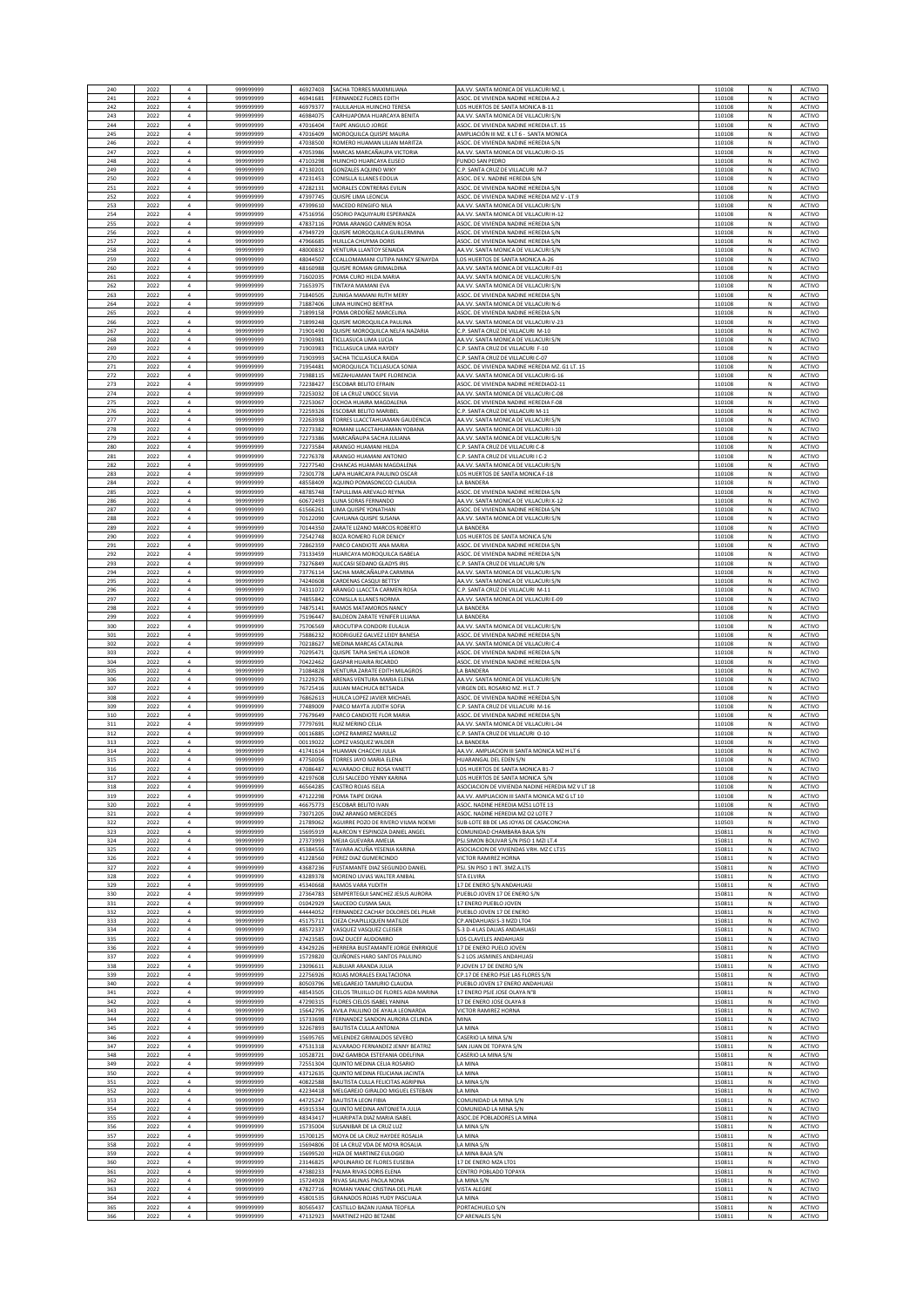| 240        | 2022         | $\overline{a}$                   | 99999999              | 46927403             | SACHA TORRES MAXIMILIANA                                     | AA.VV. SANTA MONICA DE VILLACURI MZ                                             | 110108           | N           | ACTIVO                 |
|------------|--------------|----------------------------------|-----------------------|----------------------|--------------------------------------------------------------|---------------------------------------------------------------------------------|------------------|-------------|------------------------|
| 241        | 2022         | $\overline{a}$                   | 999999999             | 46941681             | <b>FERNANDEZ FLORES EDITH</b>                                | ASOC. DE VIVIENDA NADINE HEREDIA A-2                                            | 110108           | N           | <b>ACTIVO</b>          |
| 242        | 2022         | $\overline{4}$<br>$\overline{4}$ | 999999999             | 46979377             | YAULILAHUA HUINCHO TERESA                                    | LOS HUERTOS DE SANTA MONICA B-11                                                | 110108           | N<br>N      | <b>ACTIVO</b>          |
| 243<br>244 | 2022<br>2022 | $\bf{4}$                         | 99999999<br>99999999  | 46984075<br>47016404 | CARHUAPOMA HUARCAYA BENITA<br>TAIPE ANGULO JORGE             | AA.VV. SANTA MONICA DE VILLACURI S/N<br>ASOC. DE VIVIENDA NADINE HEREDIA LT. 15 | 110108<br>110108 | N           | ACTIVO<br>ACTIVO       |
| 245        | 2022         | $\overline{a}$                   | 999999999             | 47016409             | MOROQUILCA QUISPE MAURA                                      | AMPLIACIÓN III MZ. K LT 6 - SANTA MONICA                                        | 110108           | N           | ACTIVO                 |
| 246        | 2022         | $\overline{a}$                   | 99999999              | 47038500             | ROMERO HUAMAN LILIAN MARITZA                                 | ASOC. DE VIVIENDA NADINE HEREDIA S/N                                            | 110108           | N           | ACTIVO                 |
| 247        | 2022         | $\overline{a}$                   | 99999999              | 47053986             | MARCAS MARCAÑAUPA VICTORIA                                   | AA.VV. SANTA MONICA DE VILLACURI O-15                                           | 110108           | N           | <b>ACTIVO</b>          |
| 248        | 2022         | $\ddot{a}$                       | 99999999              | 47103298             | IUINCHO HUARCAYA ELISEO                                      | UNDO SAN PEDRO                                                                  | 110108           | N           | ACTIVO                 |
| 249        | 2022         | $\overline{4}$                   | 99999999              | 47130201             | GONZALES AQUINO WIKY                                         | .P. SANTA CRUZ DE VILLACURI M-7                                                 | 110108           | N           | ACTIVO                 |
| 250        | 2022         | $\bf{4}$                         | 99999999              | 47231453             | CONISLLA ILLANES EDOLIA                                      | ASOC. DE V. NADINE HEREDIA                                                      | 110108           | N           | ACTIVO                 |
| 251        | 2022         | $\ddot{a}$                       | 99999999              | 47282131             | MORALES CONTRERAS EVILIN                                     | ASOC. DE VIVIENDA NADINE HEREDIA S                                              | 110108           | N           | ACTIVO                 |
| 252        | 2022         | $\mathfrak{a}$                   | 99999999              | 47397745             | QUISPE LIMA LEONCIA                                          | ASOC. DE VIVIENDA NADINE HEREDIA MZ V - LT.9                                    | 110108           | N           | ACTIVO                 |
| 253        | 2022         | $\overline{4}$                   | 99999999              | 47399610             | MACEDO RENGIFO NILA                                          | AA.VV. SANTA MONICA DE VILLACURI S/N                                            | 110108           | N           | ACTIVO                 |
| 254        | 2022         | $\overline{a}$                   | 999999999             | 47516956             | OSORIO PAQUIYAURI ESPERANZA                                  | AA.VV. SANTA MONICA DE VILLACURI H-12                                           | 110108           | N           | ACTIVO                 |
| 255        | 2022         | $\overline{4}$                   | 999999999             | 47837116             | POMA ARANGO CARMEN ROSA                                      | ASOC. DE VIVIENDA NADINE HEREDIA S/N                                            | 110108           | N           | ACTIVO                 |
| 256        | 2022         | $\bf{4}$                         | 99999999              | 47949729             | QUISPE MOROQUILCA GUILLERMINA                                | ASOC. DE VIVIENDA NADINE HEREDIA S/N                                            | 110108           | $\hbox{N}$  | ACTIVO                 |
| 257        | 2022         | $\sqrt{4}$                       | 99999999              | 47966685             | HUILLCA CHUYMA DORIS                                         | ASOC. DE VIVIENDA NADINE HEREDIA S/N                                            | 110108           | $\hbox{N}$  | ACTIVO                 |
| 258        | 2022         | $\overline{a}$                   | 99999999              | 48000832             | VENTURA LLANTOY SENAIDA                                      | AA.VV. SANTA MONICA DE VILLACURI S/N                                            | 110108           | N           | ACTIVO                 |
| 259        | 2022         | $\sqrt{4}$                       | 999999999             | 48044507             | CCALLOMAMANI CUTIPA NANCY SENAYDA                            | OS HUERTOS DE SANTA MONICA A-26                                                 | 110108           | N           | <b>ACTIVO</b>          |
| 260        | 2022         | $\overline{4}$                   | 999999999             | 48160988             | QUISPE ROMAN GRIMALDINA                                      | AA.VV. SANTA MONICA DE VILLACURI F-01                                           | 110108           | ${\sf N}$   | <b>ACTIVO</b>          |
| 261        | 2022         | $\ddot{a}$                       | 99999999              | 71602035             | POMA CURO HILDA MARIA                                        | AA.VV. SANTA MONICA DE VILLACURI S/N                                            | 110108           | N           | ACTIVO                 |
| 262        | 2022         | $\overline{4}$                   | 99999999              | 71653975             | TINTAYA MAMANI EVA                                           | AA.VV. SANTA MONICA DE VILLACURI S/N                                            | 110108           | N           | ACTIVO                 |
| 263        | 2022         | $\ddot{a}$                       | 99999999              | 71840505             | UNIGA MAMANI RUTH MERY                                       | ASOC. DE VIVIENDA NADINE HEREDIA                                                | 110108           | N           | ACTIVO                 |
| 264        | 2022         | $\overline{4}$                   | 99999999              | 71887406             | LIMA HUINCHO BERTHA                                          | AA.VV. SANTA MONICA DE VILLACURI N-6                                            | 110108           | N           | ACTIVO                 |
| 265        | 2022         | $\overline{4}$                   | 99999999              | 71899158             | POMA ORDOÑEZ MARCELINA                                       | ASOC. DE VIVIENDA NADINE HEREDIA S/N                                            | 110108           | N           | <b>ACTIVO</b>          |
| 266        | 2022         | $\overline{a}$                   | 99999999              | 71899248             | QUISPE MOROQUILCA PAULINA                                    | AA.VV. SANTA MONICA DE VILLACURI V-23                                           | 110108           | N           | <b>ACTIVO</b>          |
| 267        | 2022         | $\overline{4}$                   | 99999999              | 71901490             | QUISPE MOROQUILCA NELFA NAZARIA                              | C.P. SANTA CRUZ DE VILLACURI M-10                                               | 110108           | N           | ACTIVO                 |
| 268        | 2022         | $\overline{4}$                   | 99999999              | 71903981             | TICLLASUCA LIMA LUCIA                                        | AA.VV. SANTA MONICA DE VILLACURI S/N                                            | 110108           | N           | ACTIVO                 |
| 269        | 2022         | $\bf{4}$                         | 99999999              | 71903983             | TICLLASUCA LIMA HAYDE'                                       | C.P. SANTA CRUZ DE VILLACURI F-10                                               | 110108           | N           | ACTIVO                 |
| 270        | 2022         | $\bf{4}$                         | 99999999              | 71903993             | SACHA TICLLASUCA RAIDA                                       | C.P. SANTA CRUZ DE VILLACURI C-07                                               | 110108           | N           | ACTIVO                 |
| 271        | 2022         | $\overline{a}$                   | 99999999              | 71954481             | MOROQUILCA TICLLASUCA SONIA                                  | ASOC. DE VIVIENDA NADINE HEREDIA MZ. G1 LT. 15                                  | 110108           | N           | ACTIVO                 |
| 272        | 2022         | $\bf{4}$                         | 999999999             | 71988115             | MEZAHUAMAN TAIPE FLORENCIA                                   | AA.VV. SANTA MONICA DE VILLACURI G-16                                           | 110108           | N           | <b>ACTIVO</b>          |
| 273        | 2022         | $\overline{4}$                   | 99999999              | 72238427             | ESCOBAR BELITO EFRAIN                                        | ASOC. DE VIVIENDA NADINE HEREDIAO2-11                                           | 110108           | N           | <b>ACTIVO</b>          |
| 274        | 2022         | $\bf{4}$                         | 99999999              | 72253032             | DE LA CRUZ UNOCC SILVIA                                      | AA.VV. SANTA MONICA DE VILLACURI C-08                                           | 110108           | N           | ACTIVO                 |
| 275        | 2022         | $\sqrt{4}$                       | 99999999              | 72253067             | OCHOA HUAIRA MAGDALENA                                       | ASOC. DE VIVIENDA NADINE HEREDIA F-08                                           | 110108           | N           | ACTIVO                 |
| 276        | 2022         | $\sqrt{4}$                       | 99999999              | 72259326             | <b>ESCOBAR BELITO MARIBE</b>                                 | C.P. SANTA CRUZ DE VILLACURI M-11                                               | 110108           | N           | ACTIVO                 |
| 277        | 2022         | $\overline{a}$                   | 99999999              | 72263938             | TORRES LLACCTAHUAMAN GAUDENCIA                               | AA.VV. SANTA MONICA DE VILLACURI S/N                                            | 110108           | N           | ACTIVO                 |
| 278        | 2022         | $\overline{4}$                   | 99999999              | 72273382             | ROMANI LLACCTAHUAMAN YOBANA                                  | AA.VV. SANTA MONICA DE VILLACURI I-10                                           | 110108           | N           | <b>ACTIVO</b>          |
| 279        | 2022         | $\sqrt{4}$                       | 999999999             | 72273386             | MARCAÑAUPA SACHA JULIANA                                     | AA.VV. SANTA MONICA DE VILLACURI S/N                                            | 110108           | N           | <b>ACTIVO</b>          |
| 280        | 2022         | $\overline{a}$                   | 999999999             | 72273584             | ARANGO HUAMANI HILDA                                         | C.P. SANTA CRUZ DE VILLACURI C-8                                                | 110108           | N           | ACTIVO                 |
| 281        | 2022         | $\overline{4}$                   | 999999999<br>99999999 | 72276378             | ARANGO HUAMANI ANTONIO                                       | C.P. SANTA CRUZ DE VILLACURI I C-2                                              | 110108           | N           | ACTIVO                 |
| 282        | 2022         | $\sqrt{4}$                       | 99999999              | 72277540             | CHANCAS HUAMAN MAGDALENA                                     | AA.VV. SANTA MONICA DE VILLACURI S/N                                            | 110108           | N           | ACTIVO                 |
| 283        | 2022         | $\overline{a}$                   |                       | 72301778             | LAPA HUARCAYA PAULINO OSCAR                                  | LOS HUERTOS DE SANTA MONICA F-18                                                | 110108           | Ν           | ACTIVO                 |
| 284        | 2022         | $\overline{4}$                   | 999999999             | 48558409             | AQUINO POMASONCCO CLAUDIA                                    | LA BANDERA                                                                      | 110108           | $\mathbb N$ | ACTIVO                 |
| 285        | 2022         | $\overline{4}$                   | 99999999              | 48785748             | TAPULLIMA AREVALO REYNA                                      | <b>ASOC. DE VIVIENDA NADINE HEREDIA S/N</b>                                     | 110108           | N           | <b>ACTIVO</b>          |
| 286        | 2022         | $\ddot{a}$                       | 99999999              | 60672493             | LUNA SORAS FERNANDO                                          | A.VV. SANTA MONICA DE VILLACURI X-12                                            | 110108           | N           | ACTIVO                 |
| 287        | 2022         | $\overline{4}$                   | 99999999              | 61566261             | LIMA QUISPE YONATHAN                                         | ASOC. DE VIVIENDA NADINE HEREDIA S/N                                            | 110108           | N           | ACTIVO                 |
| 288        | 2022         | $\ddot{a}$                       | 99999999              | 70122090             | AHUANA OUISPE SUSAN                                          | AA VV. SANTA MONICA DE VII I ACURI S/N                                          | 110108           |             | ACTIVO                 |
| 289        | 2022         | $\overline{a}$                   | 999999999             | 70144350             | ZARATE LIZANO MARCOS ROBERTO                                 | A BANDER                                                                        | 110108           |             | ACTIVO                 |
| 290        | 2022         | $\overline{a}$                   | 99999999              | 72542748             | BOZA ROMERO FLOR DENICY                                      | LOS HUERTOS DE SANTA MONICA S/N                                                 | 110108           | N           | ACTIVO                 |
| 291        | 2022         | $\overline{a}$                   | 999999999             | 72862359             | PARCO CANDIOTE ANA MARIA                                     | ASOC. DE VIVIENDA NADINE HEREDIA S/M                                            | 110108           | N           | ACTIVO                 |
| 292<br>293 | 2022         | $\overline{a}$<br>$\overline{4}$ | 999999999             | 73133459<br>73276849 | HUARCAYA MOROQUILCA ISABEL                                   | ASOC. DE VIVIENDA NADINE HEREDIA S/N                                            | 110108           | N<br>N      | ACTIVO                 |
| 294        | 2022<br>2022 | $\bf{4}$                         | 999999999<br>99999999 | 73776114             | AUCCASI SEDANO GLADYS IRIS<br>SACHA MARCAÑAUPA CARMINA       | C.P. SANTA CRUZ DE VILLACURI S/N<br>AA.VV. SANTA MONICA DE VILLACURI S/N        | 110108<br>110108 | N           | ACTIVO<br>ACTIVO       |
| 295        | 2022         | $\bf{4}$                         | 99999999              | 74240608             | CARDENAS CASQUI BETTSY                                       | AA.VV. SANTA MONICA DE VILLACURI S/N                                            | 110108           | $\hbox{N}$  | ACTIVO                 |
| 296        | 2022         | $\overline{a}$                   | 99999999              | 74311072             | ARANGO LLACCTA CARMEN ROSA                                   | C.P. SANTA CRUZ DE VILLACURI M-11                                               | 110108           | N           | ACTIVO                 |
| 297        | 2022         | $\bf{4}$                         | 99999999              | 74855842             | CONISLLA ILLANES NORMA                                       | AA.VV. SANTA MONICA DE VILLACURI E-09                                           | 110108           | ${\sf N}$   | ACTIVO                 |
| 298        | 2022         | $\overline{4}$                   | 999999999             | 74875141             | RAMOS MATAMOROS NANCY                                        | A BANDERA                                                                       | 110108           | ${\sf N}$   | ACTIVO                 |
| 299        | 2022         | $\ddot{a}$                       | 99999999              | 75196447             | BALDEON ZARATE YENIFER LILIANA                               | A BANDERA                                                                       | 110108           | N           | ACTIVO                 |
| 300        | 2022         | $\bf{4}$                         | 99999999              | 75706569             | AROCUTIPA CONDORI EULALIA                                    | AA.VV. SANTA MONICA DE VILLACURI S/N                                            | 110108           | ${\sf N}$   | ACTIVO                 |
| 301        | 2022         | $\sqrt{4}$                       | 99999999              | 75886232             | RODRIGUEZ GALVEZ LEIDY BANES                                 | ASOC. DE VIVIENDA NADINE HEREDIA S/N                                            | 110108           | N           | ACTIVO                 |
| 302        | 2022         | $\bf{4}$                         | 99999999              | 70218627             | MEDINA MARCAS CATALINA                                       | AA.VV. SANTA MONICA DE VILLACURI C-4                                            | 110108           | N           | ACTIVO                 |
| 303        | 2022         | $\overline{4}$                   | 99999999              | 70295471             | QUISPE TAPIA SHEYLA LEONOR                                   | ASOC. DE VIVIENDA NADINE HEREDIA S/N                                            | 110108           | N           | <b>ACTIVO</b>          |
| 304        | 2022         | $\overline{4}$                   | 99999999              | 70422462             | <b>GASPAR HUAIRA RICARDO</b>                                 | ASOC. DE VIVIENDA NADINE HEREDIA S/N                                            | 110108           | N           | <b>ACTIVO</b>          |
| 305        | 2022         | $\overline{a}$                   | 99999999              | 71084828             | VENTURA ZARATE EDITH MILAGROS                                | LA BANDERA                                                                      | 110108           | N           | ACTIVO                 |
| 306        | 2022         | $\overline{4}$                   | 99999999              | 71229276             | ARENAS VENTURA MARIA ELENA                                   | AA.VV. SANTA MONICA DE VILLACURI S/N                                            | 110108           | N           | ACTIVO                 |
| 307        | 2022         | $\sqrt{4}$                       | 99999999              | 76725416             | JULIAN MACHUCA BETSAIDA                                      | VIRGEN DEL ROSARIO MZ. H LT. 7                                                  | 110108           | N           | ACTIVO                 |
| 308        | 2022         | $\sqrt{4}$                       | 99999999              | 76862613             | HUILCA LOPEZ JAVIER MICHAEL                                  | ASOC. DE VIVIENDA NADINE HEREDIA S/N                                            | 110108           | N           | ACTIVO                 |
| 309        | 2022         | $\overline{a}$                   | 99999999              | 77489009             | PARCO MAYTA JUDITH SOFIA                                     | C.P. SANTA CRUZ DE VILLACURI M-16                                               | 110108           | N           | <b>ACTIVO</b>          |
| 310        | 2022         | $\sqrt{4}$                       | 999999999             | 77679649             | PARCO CANDIOTE FLOR MARIA                                    | ASOC. DE VIVIENDA NADINE HEREDIA S/N                                            | 110108           | ${\sf N}$   | <b>ACTIVO</b>          |
| 311        | 2022         | $\overline{4}$<br>$\overline{4}$ | 999999999             | 77797691             | RUIZ MERINO CELIA                                            | AA.VV. SANTA MONICA DE VILLACURI L-04                                           | 110108           | N           | <b>ACTIVO</b>          |
| 312        | 2022         | $\sqrt{4}$                       | 99999999              | 00116885             | LOPEZ RAMIREZ MARILUZ                                        | .P. SANTA CRUZ DE VILLACURI O-10                                                | 110108           | N           | ACTIVO                 |
| 313        | 2022         |                                  | 999999999             | 00119022             | LOPEZ VASQUEZ WILDER                                         | LA BANDERA                                                                      | 110108           | N           | ACTIVO                 |
| 314        | 2022         | $\ddot{a}$                       | 99999999              | 41741614             | <b>IUAMAN CHACCHI JULIA</b>                                  | A.VV. AMPLIACION III SANTA MONICA MZ H LT 6                                     | 110108           | N           | ACTIVO                 |
| 315        | 2022         | $\overline{a}$                   | 99999999              | 47750056             | <b>TORRES JAYO MARIA ELENA</b>                               | HUARANGAL DEL EDEN S/N                                                          | 110108           | N           | <b>ACTIVO</b>          |
| 316        | 2022<br>2023 | $\overline{a}$                   | 99999999              | 47086487<br>42197608 | ALVARADO CRUZ ROSA YANETT<br><b>LISI SALCEDO YENNY KARIN</b> | OS HUERTOS DE SANTA MONICA B1-7<br>OS HUERTOS DE SANTA MONICA                   | 110108<br>10108  | N           | ACTIVO<br><b>CTIVO</b> |
| 318        | 2022         | $\overline{4}$                   | 999999999             | 46564285             | CASTRO ROJAS ISELA                                           | ASOCIACION DE VIVIENDA NADINE HEREDIA MZ V LT 18                                | 110108           | N           | <b>ACTIVO</b>          |
| 319        | 2022         | $\overline{4}$                   | 999999999             | 47122298             | POMA TAIPE DIGNA                                             | AA.VV. AMPLIACION III SANTA MONICA MZ G LT 10                                   | 110108           | N           | <b>ACTIVO</b>          |
| 320        | 2022         | $\bf{4}$                         | 99999999              | 46675773             | ESCOBAR BELITO IVAN                                          | ASOC. NADINE HEREDIA MZS1 LOTE 13                                               | 110108           | N           | ACTIVO                 |
| 321        | 2022         | $\overline{a}$                   | 999999999             | 73071205             | DIAZ ARANGO MERCEDES                                         | ASOC. NADINE HEREDIA MZ 02 LOTE 7                                               | 110108           | N           | ACTIVO                 |
| 322        | 2022         | $\overline{4}$                   | 99999999              | 21789062             | AGUIRRE POZO DE RIVERO VII MA NOEMI                          | SUB-LOTE 8B DE LAS JOYAS DE CASACONCHA                                          | 110503           | N           | ACTIVO                 |
| 323        | 2022         | $\overline{4}$                   | 999999999             | 15695919             | ALARCON Y ESPINOZA DANIEL ANGEL                              | COMUNIDAD CHAMBARA BAJA S/N                                                     | 150811           | N           | <b>ACTIVO</b>          |
| 324        | 2022         | $\ddot{a}$                       | 999999999             | 27373993             | MEJIA GUEVARA AMELIA                                         | SJ.SIMON BOLIVAR S/N PISO 1 MZI LT.4                                            | 150811           | N           | ACTIVO                 |
| 325        | 2022         | $\overline{4}$                   | 99999999              | 45384556             | TAVARA ACUÑA YESENIA KARINA                                  | ASOCIACION DE VIVIENDAS VRH. MZ C LT15                                          | 150811           | N           | ACTIVO                 |
| 326        | 2022         | $\sqrt{4}$                       | 99999999              | 41228560             | PEREZ DIAZ GUMERCINDI                                        | <b>VICTOR RAMIREZ HORN</b>                                                      | 150811           | N           | ACTIVO                 |
| 327        | 2022         | $\ddot{a}$                       | 99999999              | 43687236             | FUSTAMANTE DIAZ SEGUNDO DANIEI                               | PSJ. SN PISO 1 INT. 3MZ.A.LTS                                                   | 150811           | N           | ACTIVO                 |
| 328        | 2022         | $\overline{a}$                   | 999999999             | 43289378             | MORENO LIVIAS WALTER ANIBAL                                  | <b>STA ELVIRA</b>                                                               | 150811           | N           | ACTIVO                 |
| 329        | 2022         | $\overline{a}$                   | 99999999              | 45340668             | RAMOS VARA YUDITH                                            | <b>7 DE ENERO S/N ANDAHLIAS</b>                                                 | 150811           | N           | <b>ACTIVO</b>          |
| 330        | 2022         | $\sqrt{4}$                       | 999999999             | 27364783             | SEMPERTEGUI SANCHEZ JESUS AURORA                             | PUEBLO JOVEN 17 DE ENERO S/N                                                    | 150811           | N           | <b>ACTIVO</b>          |
| 331        | 2022         | $\overline{4}$                   | 99999999              | 01042929             | SAUCEDO CUSMA SAUL                                           | 17 ENERO PUEBLO JOVEN                                                           | 150811           | N           | ACTIVO                 |
| 332        | 2022         | $\bf{4}$                         | 99999999              | 44444052             | FERNANDEZ CACHAY DOLORES DEL PILAR                           | PUEBLO JOVEN 17 DE ENERO                                                        | 150811           | $\hbox{N}$  | ACTIVO                 |
| 333        | 2022         | $\sqrt{4}$                       | 99999999              | 45175711             | CIEZA CHAPILLIQUEN MATILDE                                   | CP.ANDAHUASI S-3 MZD LT04                                                       | 150811           | ${\sf N}$   | ACTIVO                 |
| 334        | 2022         | $\overline{a}$                   | 99999999              | 48572337             | VASQUEZ VASQUEZ CLEISER                                      | -3 D-4 LAS DALIAS ANDAHUASI                                                     | 150811           | N           | ACTIVO                 |
| 335        | 2022         | $\sqrt{4}$                       | 99999999              | 27423585             | DIAZ DUCEF AUDOMIRO                                          | LOS CLAVELES ANDAHUASI                                                          | 150811           | ${\sf N}$   | <b>ACTIVO</b>          |
| 336        | 2022         | $\overline{4}$                   | 99999999              | 43429226             | HERRERA BUSTAMANTE JORGE ENRRIQUE                            | <b>17 DE ENERO PUELO JOVEN</b>                                                  | 150811           | N           | ACTIVO                 |
| 337        | 2022         | $\overline{4}$                   | 99999999              | 15729820             | QUIÑONES HARO SANTOS PAULINO                                 | -2 LOS JASMINES ANDAHUASI                                                       | 150811           | N           | ACTIVO                 |
| 338        | 2022         | $\overline{4}$                   | 99999999              | 23096611             | ALBUJAR ARANDA JULIA                                         | JOVEN 17 DE ENERO S/N                                                           | 150811           | N           | ACTIVO                 |
| 339        | 2022         | $\sqrt{4}$                       | 99999999              | 22756926             | ROJAS MORALES EXALTACIONA                                    | CP.17 DE ENERO PSJE LAS FLORES S/N                                              | 150811           | N           | ACTIVO                 |
| 340        | 2022         | $\overline{4}$                   | 99999999              | 80503796             | MELGAREJO TAMURIO CLAUDIA                                    | PUEBLO JOVEN 17 ENERO ANDAHUASI                                                 | 150811           | N           | ACTIVO                 |
| 341        | 2022         | $\overline{4}$                   | 99999999              | 48543505             | CIELOS TRUJILLO DE FLORES AIDA MARINA                        | 17 ENERO PSJE JOSE OLAYA N°8                                                    | 150813           | N           | ACTIVO                 |
| 342        | 2022         | $\overline{a}$                   | 99999999              | 47290315             | FLORES CIELOS ISABEL YANINA                                  | 17 DE ENERO JOSE OLAYA (                                                        | 150811           | N           | <b>ACTIVO</b>          |
| 343        | 2022         | $\overline{4}$                   | 99999999              | 15642795             | AVILA PAULINO DE AYALA LEONARDA                              | VICTOR RAMIREZ HORNA                                                            | 150811           | N           | ACTIVO                 |
| 344        | 2022         | $\overline{4}$                   | 99999999              | 15733698             | FERNANDEZ SANDON AURORA CELINDA                              | MINA                                                                            | 150811           | N           | ACTIVO                 |
| 345        | 2022         | $\sqrt{4}$                       | 99999999              | 32267893             | BAUTISTA CULLA ANTONIA                                       | LA MINA                                                                         | 150811           | N           | ACTIVO                 |
| 346        | 2022         | $\sqrt{4}$                       | 99999999              | 15695765             | MELENDEZ GRIMALDOS SEVERO                                    | CASERIO LA MINA S/N                                                             | 150811           | N           | ACTIVO                 |
| 347        | 2022         | $\overline{a}$                   | 99999999              | 47531318             | ALVARADO FERNANDEZ JENNY BEATRIZ                             | SAN JUAN DE TOPAYA S/N                                                          | 150811           | N           | ACTIVO                 |
| 348        | 2022         | $\sqrt{4}$                       | 99999999              | 10528721             | DIAZ GAMBOA ESTEFANIA ODELFINA                               | CASERIO LA MINA S/N                                                             | 150811           | ${\sf N}$   | <b>ACTIVO</b>          |
| 349        | 2022         | $\overline{4}$                   | 999999999             | 72551304             | QUINTO MEDINA CELIA ROSARIO                                  | A MINA                                                                          | 150811           | N           | ACTIVO                 |
| 350        | 2022         | $\overline{4}$                   | 999999999             | 43712635             | QUINTO MEDINA FELICIANA JACINTA                              | A MINA                                                                          | 150811           | N           | ACTIVO                 |
| 351        | 2022         | $\sqrt{4}$                       | 99999999              | 40822588             | BAUTISTA CULLA FELICITAS AGRIPINA                            | LA MINA S/N                                                                     | 150811           | N           | ACTIVO                 |
| 352        | 2022         | $\sqrt{4}$                       | 99999999              | 42234418             | MELGAREJO GIRALDO MIGUEL ESTEBAN                             | LA MINA                                                                         | 150811           | N           | ACTIVO                 |
| 353        | 2022         | $\mathbf{A}$                     | 999999999             | 44725247             | <b>BAUTISTA LEON FIBIA</b>                                   | COMUNIDAD LA MINA S/N                                                           | 150811           | N           | ACTIVO                 |
| 354        | 2022         | $\overline{a}$                   | 99999999              | 45915334             | QUINTO MEDINA ANTONIETA JULIA                                | COMUNIDAD LA MINA S/N                                                           | 150811           | N           | <b>ACTIVO</b>          |
| 355        | 2022         | $\overline{a}$                   | 999999999             | 48343417             | HUARIPATA DIAZ MARIA ISABEL                                  | ASOC.DE POBLADORES LA MINA                                                      | 150811           | N           | ACTIVO                 |
| 356        | 2022         | $\overline{a}$                   | 999999999             | 15735004             | SUSANIBAR DE LA CRUZ LUZ                                     | LA MINA S/N                                                                     | 150811           | N           | ACTIVO                 |
| 357        | 2022         | $\overline{4}$                   | 99999999              | 15700125             | MOYA DE LA CRUZ HAYDEE ROSALIA                               | LA MINA                                                                         | 150811           | N           | ACTIVO                 |
| 358        | 2022         | $\sqrt{4}$                       | 99999999              | 15694806             | DE LA CRUZ VDA DE MOYA ROSALIA                               | LA MINA S/N                                                                     | 150811           | N           | ACTIVO                 |
| 359        | 2022         | $\overline{a}$                   | 99999999              | 15699520             | HIZA DE MARTINEZ EULOGIO                                     | LA MINA BAJA S/N                                                                | 150811           | Ν           | ACTIVO                 |
| 360        | 2022         | $\overline{4}$                   | 99999999              | 23146825             | APOLINARIO DE FLORES EUSEBIA                                 | 17 DE ENERO MZA LT01                                                            | 150811           | $\mathbb N$ | ACTIVO                 |
| 361        | 2022         | $\overline{4}$                   | 999999999             | 47380233             | PALMA RIVAS DORIS ELENA                                      | <b>ENTRO POBLADO TOPAYA</b>                                                     | 150811           | N           | <b>ACTIVO</b>          |
| 362        | 2022         | $\ddot{a}$                       | 999999999             | 15724928             | RIVAS SALINAS PAOLA NONA                                     | A MINA S/N                                                                      | 150811           | N           | ACTIVO                 |
| 363        | 2022         | $\overline{4}$                   | 999999999             | 47827716             | ROMAN YANAC CRISTINA DEL PILAR                               | /ISTA ALEGRE                                                                    | 150811           | N           | ACTIVO                 |
| 364        | 2022         | $\sqrt{4}$                       | 99999999              | 45801535             | SRANADOS ROJAS YUDY PASCUAL                                  | A MINA                                                                          | 150811           | N           | ACTIVO                 |
|            | 2022         | $\ddot{a}$                       | 99999999              | 80565437             | CASTILLO BAZAN JUANA TEOFIL                                  | PORTACHUELO S/M                                                                 | 150813           |             | ACTIVO                 |